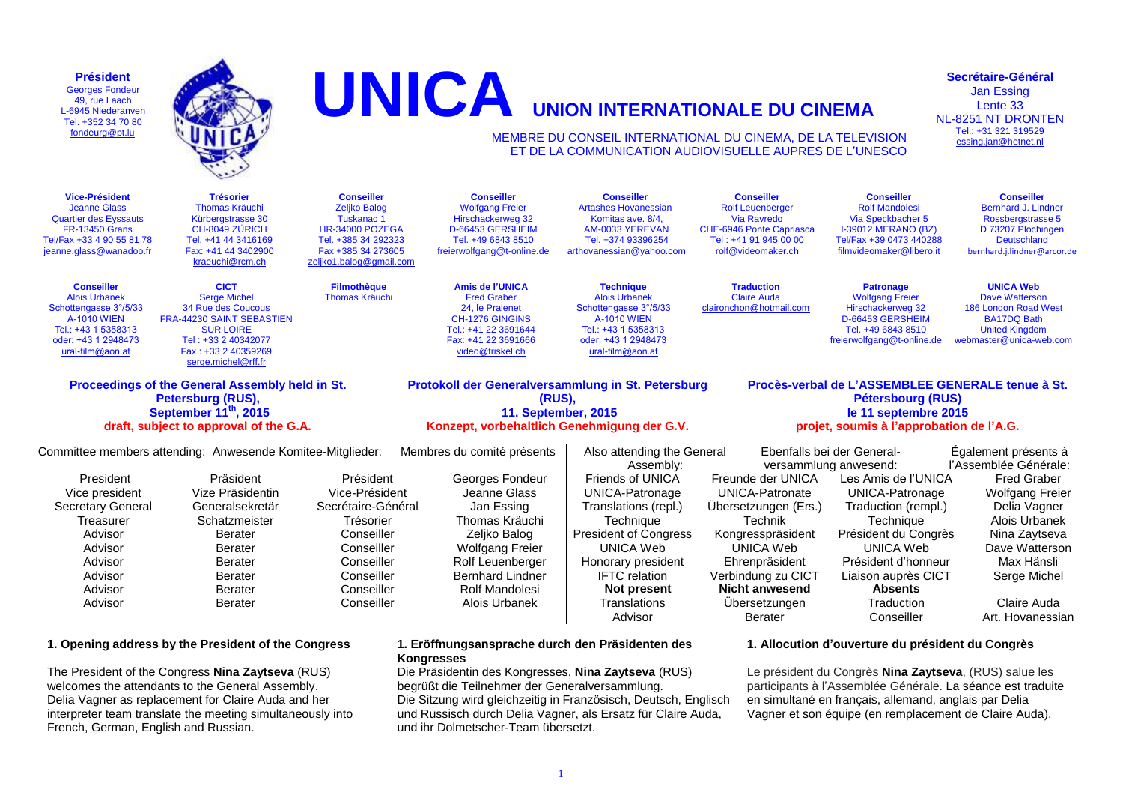**Président** Georges Fondeur 49, rue Laach L-6945 Niederanven Tel. +352 34 70 80 [fondeurg@pt.lu](mailto:fondeurg@pt.lu)



# **UNICA UNION INTERNATIONALE DU CINEMA**

#### MEMBRE DU CONSEIL INTERNATIONAL DU CINEMA, DE LA TELEVISION ET DE LA COMMUNICATION AUDIOVISUELLE AUPRES DE L'UNESCO

**Vice-Président** Jeanne Glass Quartier des Eyssauts FR-13450 Grans Tel/Fax +33 4 90 55 81 78 [jeanne.glass@wanadoo.fr](mailto:jeanne.glass@wanadoo.fr) **Trésorier** Thomas Kräuchi Kürbergstrasse 30 CH-8049 ZÜRICH Tel. +41 44 3416169 Fax: +41 44 3402900 [kraeuchi@rcm.ch](mailto:kraeuchi@rcm.ch) **Conseiller** Zeliko Balog Tuskanac 1 HR-34000 POZEGA Tel. +385 34 292323 Fax +385 34 273605 [zeljko1.balog@gmail.com](mailto:zeljko1.balog@gmail.com) **Conseiller** Wolfgang Freier Hirschackerweg 32 D-66453 GERSHEIM Tel. +49 6843 8510 [freierwolfgang@t-online.de](mailto:freierwolfgang@t-online.de) **Conseiller** Artashes Hovanessian Komitas ave. 8/4, AM-0033 YEREVAN Tel. +374 93396254 [arthovanessian@yahoo.com](mailto:arthovanessian@yahoo.com) **Conseiller** Rolf Leuenberger Via Ravredo CHE-6946 Ponte Capriasca Tel : +41 91 945 00 00 [rolf@videomaker.ch](mailto:rolf@videomaker.ch) **Conseiller** Rolf Mandolesi Via Speckbacher 5 I-39012 MERANO (BZ) Tel/Fax +39 0473 440288 [filmvideomaker@libero.it](mailto:filmvideomaker@libero.it) **Conseiller** Bernhard J. Lindner Rossbergstrasse 5 D 73207 Plochingen **Deutschland** [bernhard.j.lindner@arcor.de](mailto:bernhard.j.lindner@arcor.de) **Conseiller** Alois Urbanek Schottengasse 3°/5/33 A-1010 WIEN Tel.: +43 1 5358313 oder: +43 1 2948473 [ural-film@aon.at](mailto:ural-film@aon.at) **CICT** Serge Michel 34 Rue des Coucous FRA-44230 SAINT SEBASTIEN SUR LOIRE Tel : +33 2 40342077 Fax : +33 2 40359269 [serge.michel@rff.fr](mailto:serge.michel@rff.fr) **Filmothèque** Thomas Kräuchi **Amis de l'UNICA** Fred Graber 24, le Pralenet CH-1276 GINGINS Tel.: +41 22 3691644 Fax: +41 22 3691666 [video@triskel.ch](mailto:video@triskel.ch) **Technique** Alois Urbanek Schottengasse 3°/5/33 A-1010 WIEN Tel.: +43 1 5358313 oder: +43 1 2948473 [ural-film@aon.at](mailto:ural-film@aon.at) **Traduction** Claire Auda [claironchon@hotmail.com](mailto:claironchon@hotmail.com) **Patronage** Wolfgang Freier Hirschackerweg 32 D-66453 GERSHEIM Tel. +49 6843 8510 [freierwolfgang@t-online.de](mailto:freierwolfgang@t-online.de) **UNICA Web** Dave Watterson 186 London Road West BA17DQ Bath United Kingdom [webmaster@unica-web.com](mailto:webmaster@unica-web.com) **Proceedings of the General Assembly held in St. Petersburg (RUS), September 11th, 2015 Protokoll der Generalversammlung in St. Petersburg (RUS), 11. September, 2015 Konzept, vorbehaltlich Genehmigung der G.V. Procès-verbal de L'ASSEMBLEE GENERALE tenue à St. Pétersbourg (RUS) le 11 septembre 2015 projet, soumis à l'approbation de l'A.G.**

## **draft, subject to approval of the G.A.**

| Committee members attending: Anwesende Komitee-Mitglieder: |                  |                    | Membres du comité présents | Also attending the General   |                       | Ebenfalls bei der General- | Egalement présents à   |
|------------------------------------------------------------|------------------|--------------------|----------------------------|------------------------------|-----------------------|----------------------------|------------------------|
|                                                            |                  |                    |                            | Assembly:                    |                       | versammlung anwesend:      | l'Assemblée Générale:  |
| President                                                  | Präsident        | Président          | Georges Fondeur            | Friends of UNICA             | Freunde der UNICA     | Les Amis de l'UNICA        | <b>Fred Graber</b>     |
| Vice president                                             | Vize Präsidentin | Vice-Président     | Jeanne Glass               | UNICA-Patronage              | UNICA-Patronate       | UNICA-Patronage            | <b>Wolfgang Freier</b> |
| Secretary General                                          | Generalsekretär  | Secrétaire-Général | Jan Essing                 | Translations (repl.)         | Ubersetzungen (Ers.)  | Traduction (rempl.)        | Delia Vagner           |
| Treasurer                                                  | Schatzmeister    | Trésorier          | Thomas Kräuchi             | Techniaue                    | Technik               | Techniaue                  | Alois Urbanek          |
| Advisor                                                    | Berater          | Conseiller         | Zeliko Balog               | <b>President of Congress</b> | Kongresspräsident     | Président du Congrès       | Nina Zaytseva          |
| Advisor                                                    | Berater          | Conseiller         | Wolfgang Freier            | UNICA Web                    | UNICA Web             | UNICA Web                  | Dave Watterson         |
| Advisor                                                    | Berater          | Conseiller         | Rolf Leuenberger           | Honorary president           | Ehrenpräsident        | Président d'honneur        | Max Hänsli             |
| Advisor                                                    | Berater          | Conseiller         | <b>Bernhard Lindner</b>    | <b>IFTC</b> relation         | Verbindung zu CICT    | Liaison auprès CICT        | Serge Michel           |
| Advisor                                                    | Berater          | Conseiller         | Rolf Mandolesi             | Not present                  | <b>Nicht anwesend</b> | <b>Absents</b>             |                        |
| Advisor                                                    | Berater          | Conseiller         | Alois Urbanek              | Translations                 | Ubersetzungen         | Traduction                 | Claire Auda            |

#### **1. Opening address by the President of the Congress**

The President of the Congress **Nina Zaytseva** (RUS) welcomes the attendants to the General Assembly. Delia Vagner as replacement for Claire Auda and her interpreter team translate the meeting simultaneously into French, German, English and Russian.

#### **1. Eröffnungsansprache durch den Präsidenten des Kongresses**

Die Präsidentin des Kongresses, **Nina Zaytseva** (RUS) begrüßt die Teilnehmer der Generalversammlung. Die Sitzung wird gleichzeitig in Französisch, Deutsch, Englisch und Russisch durch Delia Vagner, als Ersatz für Claire Auda, und ihr Dolmetscher-Team übersetzt.

#### **1. Allocution d'ouverture du président du Congrès**

Advisor **Berater Conseiller** Art. Hovanessian

Le président du Congrès **Nina Zaytseva**, (RUS) salue les participants à l'Assemblée Générale. La séance est traduite en simultané en français, allemand, anglais par Delia Vagner et son équipe (en remplacement de Claire Auda).

**Secrétaire-Général** Jan Essing Lente 33 NL-8251 NT DRONTEN Tel.: +31 321 319529 [essing.jan@hetnet.nl](mailto:essing.jan@hetnet.nl)

#### 1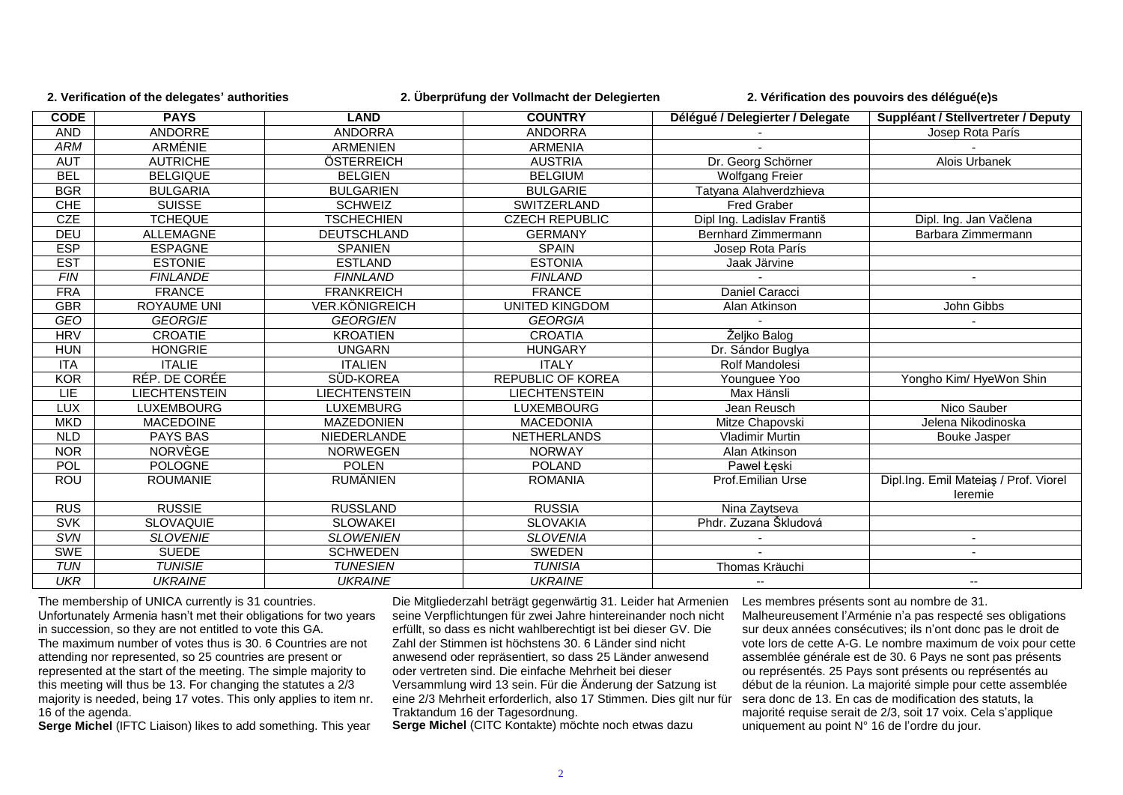**2. Verification of the delegates' authorities 2. Überprüfung der Vollmacht der Delegierten 2. Vérification des pouvoirs des délégué(e)s**

| <b>CODE</b> | <b>PAYS</b>          | <b>LAND</b>          | <b>COUNTRY</b>           | Délégué / Delegierter / Delegate | Suppléant / Stellvertreter / Deputy              |
|-------------|----------------------|----------------------|--------------------------|----------------------------------|--------------------------------------------------|
| <b>AND</b>  | ANDORRE              | <b>ANDORRA</b>       | <b>ANDORRA</b>           |                                  | Josep Rota París                                 |
| <b>ARM</b>  | <b>ARMÉNIE</b>       | <b>ARMENIEN</b>      | <b>ARMENIA</b>           |                                  |                                                  |
| <b>AUT</b>  | <b>AUTRICHE</b>      | ÖSTERREICH           | <b>AUSTRIA</b>           | Dr. Georg Schörner               | <b>Alois Urbanek</b>                             |
| <b>BEL</b>  | <b>BELGIQUE</b>      | <b>BELGIEN</b>       | <b>BELGIUM</b>           | <b>Wolfgang Freier</b>           |                                                  |
| <b>BGR</b>  | <b>BULGARIA</b>      | <b>BULGARIEN</b>     | <b>BULGARIE</b>          | Tatyana Alahverdzhieva           |                                                  |
| <b>CHE</b>  | <b>SUISSE</b>        | <b>SCHWEIZ</b>       | SWITZERLAND              | <b>Fred Graber</b>               |                                                  |
| CZE         | <b>TCHEQUE</b>       | <b>TSCHECHIEN</b>    | <b>CZECH REPUBLIC</b>    | Dipl Ing. Ladislav Františ       | Dipl. Ing. Jan Vačlena                           |
| DEU         | <b>ALLEMAGNE</b>     | <b>DEUTSCHLAND</b>   | <b>GERMANY</b>           | Bernhard Zimmermann              | Barbara Zimmermann                               |
| <b>ESP</b>  | <b>ESPAGNE</b>       | <b>SPANIEN</b>       | <b>SPAIN</b>             | Josep Rota París                 |                                                  |
| <b>EST</b>  | <b>ESTONIE</b>       | <b>ESTLAND</b>       | <b>ESTONIA</b>           | Jaak Järvine                     |                                                  |
| F/N         | <b>FINLANDE</b>      | <b>FINNLAND</b>      | <b>FINLAND</b>           |                                  |                                                  |
| <b>FRA</b>  | <b>FRANCE</b>        | <b>FRANKREICH</b>    | <b>FRANCE</b>            | Daniel Caracci                   |                                                  |
| <b>GBR</b>  | <b>ROYAUME UNI</b>   | VER.KÖNIGREICH       | <b>UNITED KINGDOM</b>    | Alan Atkinson                    | John Gibbs                                       |
| <b>GEO</b>  | <b>GEORGIE</b>       | <b>GEORGIEN</b>      | <b>GEORGIA</b>           |                                  |                                                  |
| <b>HRV</b>  | <b>CROATIE</b>       | <b>KROATIEN</b>      | <b>CROATIA</b>           | Željko Balog                     |                                                  |
| <b>HUN</b>  | <b>HONGRIE</b>       | <b>UNGARN</b>        | <b>HUNGARY</b>           | Dr. Sándor Buglya                |                                                  |
| <b>ITA</b>  | <b>ITALIE</b>        | <b>ITALIEN</b>       | <b>ITALY</b>             | <b>Rolf Mandolesi</b>            |                                                  |
| <b>KOR</b>  | RÉP. DE CORÉE        | SÜD-KOREA            | <b>REPUBLIC OF KOREA</b> | Younguee Yoo                     | Yongho Kim/ HyeWon Shin                          |
| LIE         | <b>LIECHTENSTEIN</b> | <b>LIECHTENSTEIN</b> | <b>LIECHTENSTEIN</b>     | Max Hänsli                       |                                                  |
| <b>LUX</b>  | LUXEMBOURG           | <b>LUXEMBURG</b>     | <b>LUXEMBOURG</b>        | Jean Reusch                      | Nico Sauber                                      |
| <b>MKD</b>  | <b>MACEDOINE</b>     | <b>MAZEDONIEN</b>    | <b>MACEDONIA</b>         | Mitze Chapovski                  | Jelena Nikodinoska                               |
| <b>NLD</b>  | PAYS BAS             | NIEDERLANDE          | <b>NETHERLANDS</b>       | <b>Vladimir Murtin</b>           | <b>Bouke Jasper</b>                              |
| <b>NOR</b>  | NORVÈGE              | <b>NORWEGEN</b>      | <b>NORWAY</b>            | Alan Atkinson                    |                                                  |
| POL         | <b>POLOGNE</b>       | <b>POLEN</b>         | <b>POLAND</b>            | Pawel Łęski                      |                                                  |
| ROU         | <b>ROUMANIE</b>      | <b>RUMÄNIEN</b>      | <b>ROMANIA</b>           | Prof.Emilian Urse                | Dipl.Ing. Emil Mateiaş / Prof. Viorel<br>leremie |
| <b>RUS</b>  | <b>RUSSIE</b>        | <b>RUSSLAND</b>      | <b>RUSSIA</b>            | Nina Zaytseva                    |                                                  |
| <b>SVK</b>  | <b>SLOVAQUIE</b>     | <b>SLOWAKEI</b>      | <b>SLOVAKIA</b>          | Phdr. Zuzana Škludová            |                                                  |
| SVN         | <b>SLOVENIE</b>      | <b>SLOWENIEN</b>     | <b>SLOVENIA</b>          |                                  |                                                  |
| <b>SWE</b>  | <b>SUEDE</b>         | <b>SCHWEDEN</b>      | SWEDEN                   |                                  |                                                  |
| <b>TUN</b>  | <b>TUNISIE</b>       | <b>TUNESIEN</b>      | <b>TUNISIA</b>           | Thomas Kräuchi                   |                                                  |
| <b>UKR</b>  | <b>UKRAINE</b>       | <b>UKRAINE</b>       | <b>UKRAINE</b>           | --                               | $\overline{\phantom{a}}$                         |

The membership of UNICA currently is 31 countries. Unfortunately Armenia hasn't met their obligations for two years in succession, so they are not entitled to vote this GA. The maximum number of votes thus is 30. 6 Countries are not attending nor represented, so 25 countries are present or represented at the start of the meeting. The simple majority to this meeting will thus be 13. For changing the statutes a 2/3 majority is needed, being 17 votes. This only applies to item nr. 16 of the agenda.

**Serge Michel** (IFTC Liaison) likes to add something. This year

Die Mitgliederzahl beträgt gegenwärtig 31. Leider hat Armenien seine Verpflichtungen für zwei Jahre hintereinander noch nicht erfüllt, so dass es nicht wahlberechtigt ist bei dieser GV. Die Zahl der Stimmen ist höchstens 30. 6 Länder sind nicht anwesend oder repräsentiert, so dass 25 Länder anwesend oder vertreten sind. Die einfache Mehrheit bei dieser Versammlung wird 13 sein. Für die Änderung der Satzung ist eine 2/3 Mehrheit erforderlich, also 17 Stimmen. Dies gilt nur für Traktandum 16 der Tagesordnung. **Serge Michel** (CITC Kontakte) möchte noch etwas dazu

Les membres présents sont au nombre de 31. Malheureusement l'Arménie n'a pas respecté ses obligations sur deux années consécutives; ils n'ont donc pas le droit de vote lors de cette A-G. Le nombre maximum de voix pour cette assemblée générale est de 30. 6 Pays ne sont pas présents ou représentés. 25 Pays sont présents ou représentés au début de la réunion. La majorité simple pour cette assemblée sera donc de 13. En cas de modification des statuts, la majorité requise serait de 2/3, soit 17 voix. Cela s'applique uniquement au point N° 16 de l'ordre du jour.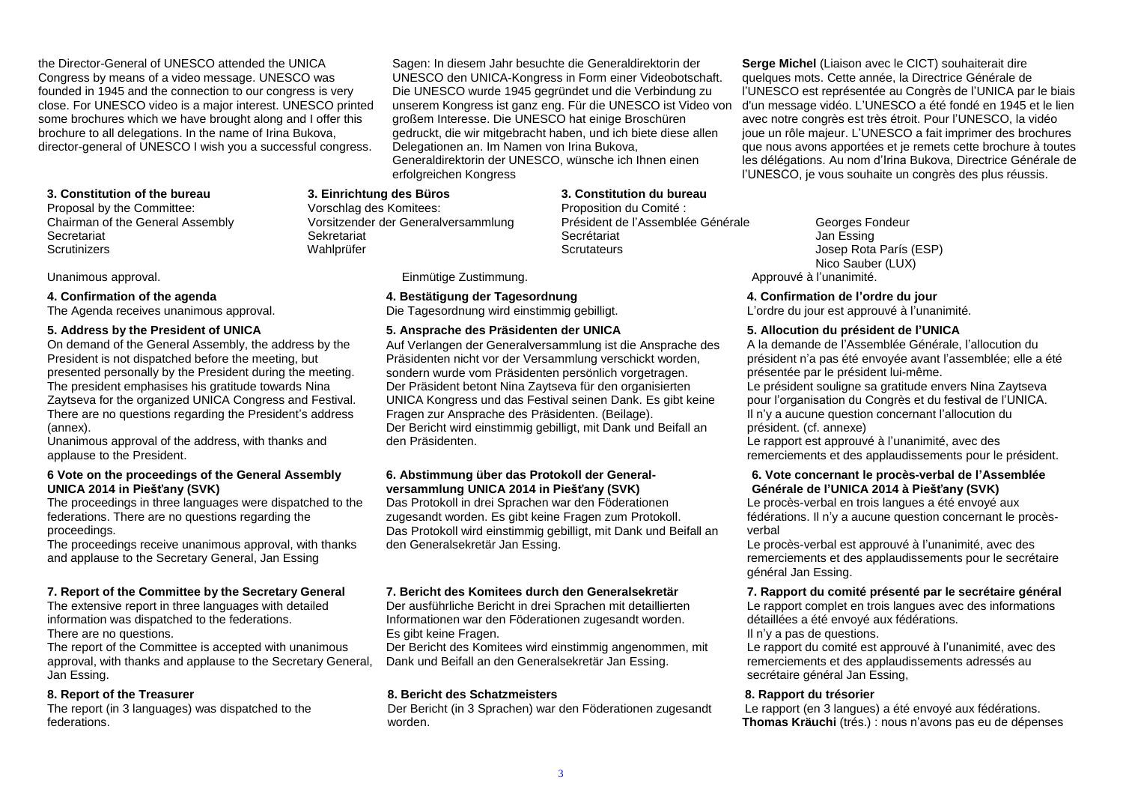the Director-General of UNESCO attended the UNICA Congress by means of a video message. UNESCO was founded in 1945 and the connection to our congress is very close. For UNESCO video is a major interest. UNESCO printed some brochures which we have brought along and I offer this brochure to all delegations. In the name of Irina Bukova, director-general of UNESCO I wish you a successful congress.

#### **3. Constitution of the bureau**

Proposal by the Committee: Chairman of the General Assembly **Secretariat Scrutinizers** 

#### **4. Confirmation of the agenda**

The Agenda receives unanimous approval.

#### **5. Address by the President of UNICA**

On demand of the General Assembly, the address by the President is not dispatched before the meeting, but presented personally by the President during the meeting. The president emphasises his gratitude towards Nina Zaytseva for the organized UNICA Congress and Festival. There are no questions regarding the President's address (annex).

Unanimous approval of the address, with thanks and applause to the President.

#### **6 Vote on the proceedings of the General Assembly UNICA 2014 in Piešťany (SVK)**

The proceedings in three languages were dispatched to the federations. There are no questions regarding the proceedings.

The proceedings receive unanimous approval, with thanks and applause to the Secretary General, Jan Essing

#### **7. Report of the Committee by the Secretary General**

The extensive report in three languages with detailed information was dispatched to the federations.

There are no questions.

The report of the Committee is accepted with unanimous approval, with thanks and applause to the Secretary General, Jan Essing.

#### **8. Report of the Treasurer**

The report (in 3 languages) was dispatched to the federations.

Sagen: In diesem Jahr besuchte die Generaldirektorin der UNESCO den UNICA-Kongress in Form einer Videobotschaft. Die UNESCO wurde 1945 gegründet und die Verbindung zu unserem Kongress ist ganz eng. Für die UNESCO ist Video von großem Interesse. Die UNESCO hat einige Broschüren gedruckt, die wir mitgebracht haben, und ich biete diese allen Delegationen an. Im Namen von Irina Bukova, Generaldirektorin der UNESCO, wünsche ich Ihnen einen erfolgreichen Kongress

> **3. Constitution du bureau** Proposition du Comité : Président de l'Assemblée Générale Secrétariat **Scrutateurs**

Unanimous approval. **Einmütige Zustimmung. Einmütige Zustimmung.** 

**3. Einrichtung des Büros** Vorschlag des Komitees:

Sekretariat Wahlprüfer

Vorsitzender der Generalversammlung

#### **4. Bestätigung der Tagesordnung**

Die Tagesordnung wird einstimmig gebilligt.

#### **5. Ansprache des Präsidenten der UNICA**

Auf Verlangen der Generalversammlung ist die Ansprache des Präsidenten nicht vor der Versammlung verschickt worden, sondern wurde vom Präsidenten persönlich vorgetragen. Der Präsident betont Nina Zaytseva für den organisierten UNICA Kongress und das Festival seinen Dank. Es gibt keine Fragen zur Ansprache des Präsidenten. (Beilage). Der Bericht wird einstimmig gebilligt, mit Dank und Beifall an den Präsidenten.

#### **6. Abstimmung über das Protokoll der Generalversammlung UNICA 2014 in Piešťany (SVK)**

Das Protokoll in drei Sprachen war den Föderationen zugesandt worden. Es gibt keine Fragen zum Protokoll. Das Protokoll wird einstimmig gebilligt, mit Dank und Beifall an den Generalsekretär Jan Essing.

#### **7. Bericht des Komitees durch den Generalsekretär**

Der ausführliche Bericht in drei Sprachen mit detaillierten Informationen war den Föderationen zugesandt worden. Es gibt keine Fragen.

Der Bericht des Komitees wird einstimmig angenommen, mit Dank und Beifall an den Generalsekretär Jan Essing.

#### **8. Bericht des Schatzmeisters**

Der Bericht (in 3 Sprachen) war den Föderationen zugesandt worden.

**Serge Michel** (Liaison avec le CICT) souhaiterait dire quelques mots. Cette année, la Directrice Générale de l'UNESCO est représentée au Congrès de l'UNICA par le biais d'un message vidéo. L'UNESCO a été fondé en 1945 et le lien avec notre congrès est très étroit. Pour l'UNESCO, la vidéo joue un rôle majeur. L'UNESCO a fait imprimer des brochures que nous avons apportées et je remets cette brochure à toutes les délégations. Au nom d'Irina Bukova, Directrice Générale de l'UNESCO, je vous souhaite un congrès des plus réussis.

Georges Fondeur Jan Essing Josep Rota París (ESP) Nico Sauber (LUX)<br>Approuvé à l'unanimité.

#### **4. Confirmation de l'ordre du jour**

L'ordre du jour est approuvé à l'unanimité.

#### **5. Allocution du président de l'UNICA**

A la demande de l'Assemblée Générale, l'allocution du président n'a pas été envoyée avant l'assemblée; elle a été présentée par le président lui-même.

Le président souligne sa gratitude envers Nina Zaytseva pour l'organisation du Congrès et du festival de l'UNICA. Il n'y a aucune question concernant l'allocution du président. (cf. annexe)

Le rapport est approuvé à l'unanimité, avec des remerciements et des applaudissements pour le président.

#### **6. Vote concernant le procès-verbal de l'Assemblée Générale de l'UNICA 2014 à Piešťany (SVK)**

Le procès-verbal en trois langues a été envoyé aux fédérations. Il n'y a aucune question concernant le procèsverbal

Le procès-verbal est approuvé à l'unanimité, avec des remerciements et des applaudissements pour le secrétaire général Jan Essing.

#### **7. Rapport du comité présenté par le secrétaire général**

Le rapport complet en trois langues avec des informations détaillées a été envoyé aux fédérations.

#### Il n'y a pas de questions.

Le rapport du comité est approuvé à l'unanimité, avec des remerciements et des applaudissements adressés au secrétaire général Jan Essing,

#### **8. Rapport du trésorier**

Le rapport (en 3 langues) a été envoyé aux fédérations. **Thomas Kräuchi** (trés.) : nous n'avons pas eu de dépenses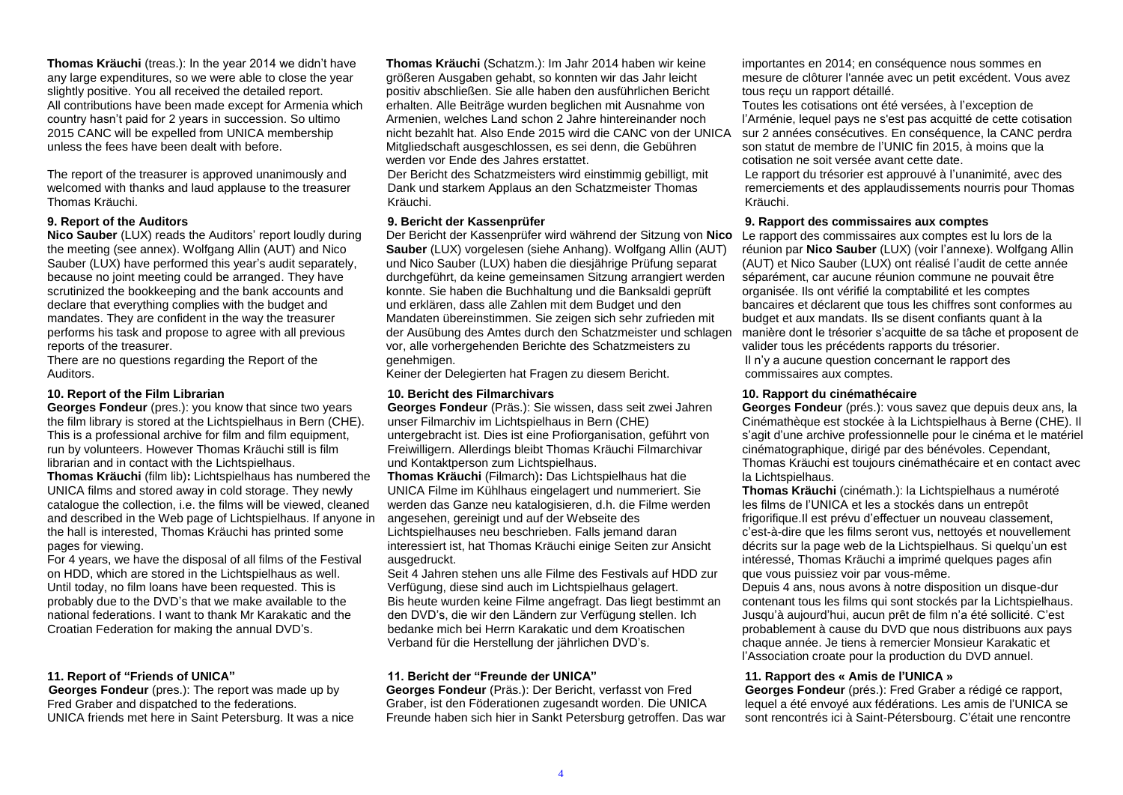**Thomas Kräuchi** (treas.): In the year 2014 we didn't have any large expenditures, so we were able to close the year slightly positive. You all received the detailed report. All contributions have been made except for Armenia which country hasn't paid for 2 years in succession. So ultimo 2015 CANC will be expelled from UNICA membership unless the fees have been dealt with before.

The report of the treasurer is approved unanimously and welcomed with thanks and laud applause to the treasurer Thomas Kräuchi.

#### **9. Report of the Auditors**

**Nico Sauber** (LUX) reads the Auditors' report loudly during the meeting (see annex). Wolfgang Allin (AUT) and Nico Sauber (LUX) have performed this year's audit separately, because no joint meeting could be arranged. They have scrutinized the bookkeeping and the bank accounts and declare that everything complies with the budget and mandates. They are confident in the way the treasurer performs his task and propose to agree with all previous reports of the treasurer.

There are no questions regarding the Report of the Auditors.

#### **10. Report of the Film Librarian**

**Georges Fondeur** (pres.): you know that since two years the film library is stored at the Lichtspielhaus in Bern (CHE). This is a professional archive for film and film equipment, run by volunteers. However Thomas Kräuchi still is film librarian and in contact with the Lichtspielhaus.

**Thomas Kräuchi** (film lib)**:** Lichtspielhaus has numbered the UNICA films and stored away in cold storage. They newly catalogue the collection, i.e. the films will be viewed, cleaned and described in the Web page of Lichtspielhaus. If anyone in the hall is interested, Thomas Kräuchi has printed some pages for viewing.

For 4 years, we have the disposal of all films of the Festival on HDD, which are stored in the Lichtspielhaus as well. Until today, no film loans have been requested. This is probably due to the DVD's that we make available to the national federations. I want to thank Mr Karakatic and the Croatian Federation for making the annual DVD's.

#### **11. Report of "Friends of UNICA"**

**Georges Fondeur** (pres.): The report was made up by Fred Graber and dispatched to the federations. UNICA friends met here in Saint Petersburg. It was a nice **Thomas Kräuchi** (Schatzm.): Im Jahr 2014 haben wir keine größeren Ausgaben gehabt, so konnten wir das Jahr leicht positiv abschließen. Sie alle haben den ausführlichen Bericht erhalten. Alle Beiträge wurden beglichen mit Ausnahme von Armenien, welches Land schon 2 Jahre hintereinander noch nicht bezahlt hat. Also Ende 2015 wird die CANC von der UNICA Mitgliedschaft ausgeschlossen, es sei denn, die Gebühren werden vor Ende des Jahres erstattet.

Der Bericht des Schatzmeisters wird einstimmig gebilligt, mit Dank und starkem Applaus an den Schatzmeister Thomas Kräuchi.

#### **9. Bericht der Kassenprüfer**

Der Bericht der Kassenprüfer wird während der Sitzung von **Nico**  Le rapport des commissaires aux comptes est lu lors de la **Sauber** (LUX) vorgelesen (siehe Anhang). Wolfgang Allin (AUT) und Nico Sauber (LUX) haben die diesjährige Prüfung separat durchgeführt, da keine gemeinsamen Sitzung arrangiert werden konnte. Sie haben die Buchhaltung und die Banksaldi geprüft und erklären, dass alle Zahlen mit dem Budget und den Mandaten übereinstimmen. Sie zeigen sich sehr zufrieden mit der Ausübung des Amtes durch den Schatzmeister und schlagen vor, alle vorhergehenden Berichte des Schatzmeisters zu genehmigen.

Keiner der Delegierten hat Fragen zu diesem Bericht.

#### **10. Bericht des Filmarchivars**

**Georges Fondeur** (Präs.): Sie wissen, dass seit zwei Jahren unser Filmarchiv im Lichtspielhaus in Bern (CHE) untergebracht ist. Dies ist eine Profiorganisation, geführt von Freiwilligern. Allerdings bleibt Thomas Kräuchi Filmarchivar und Kontaktperson zum Lichtspielhaus.

**Thomas Kräuchi** (Filmarch)**:** Das Lichtspielhaus hat die UNICA Filme im Kühlhaus eingelagert und nummeriert. Sie werden das Ganze neu katalogisieren, d.h. die Filme werden angesehen, gereinigt und auf der Webseite des Lichtspielhauses neu beschrieben. Falls jemand daran interessiert ist, hat Thomas Kräuchi einige Seiten zur Ansicht ausgedruckt.

Seit 4 Jahren stehen uns alle Filme des Festivals auf HDD zur Verfügung, diese sind auch im Lichtspielhaus gelagert. Bis heute wurden keine Filme angefragt. Das liegt bestimmt an den DVD's, die wir den Ländern zur Verfügung stellen. Ich bedanke mich bei Herrn Karakatic und dem Kroatischen Verband für die Herstellung der jährlichen DVD's.

#### **11. Bericht der "Freunde der UNICA"**

**Georges Fondeur** (Präs.): Der Bericht, verfasst von Fred Graber, ist den Föderationen zugesandt worden. Die UNICA Freunde haben sich hier in Sankt Petersburg getroffen. Das war importantes en 2014; en conséquence nous sommes en mesure de clôturer l'année avec un petit excédent. Vous avez tous reçu un rapport détaillé.

Toutes les cotisations ont été versées, à l'exception de l'Arménie, lequel pays ne s'est pas acquitté de cette cotisation sur 2 années consécutives. En conséquence, la CANC perdra son statut de membre de l'UNIC fin 2015, à moins que la cotisation ne soit versée avant cette date.

Le rapport du trésorier est approuvé à l'unanimité, avec des remerciements et des applaudissements nourris pour Thomas Kräuchi.

#### **9. Rapport des commissaires aux comptes**

réunion par **Nico Sauber** (LUX) (voir l'annexe). Wolfgang Allin (AUT) et Nico Sauber (LUX) ont réalisé l'audit de cette année séparément, car aucune réunion commune ne pouvait être organisée. Ils ont vérifié la comptabilité et les comptes bancaires et déclarent que tous les chiffres sont conformes au budget et aux mandats. Ils se disent confiants quant à la manière dont le trésorier s'acquitte de sa tâche et proposent de valider tous les précédents rapports du trésorier.

Il n'y a aucune question concernant le rapport des commissaires aux comptes.

#### **10. Rapport du cinémathécaire**

**Georges Fondeur** (prés.): vous savez que depuis deux ans, la Cinémathèque est stockée à la Lichtspielhaus à Berne (CHE). Il s'agit d'une archive professionnelle pour le cinéma et le matériel cinématographique, dirigé par des bénévoles. Cependant, Thomas Kräuchi est toujours cinémathécaire et en contact avec la Lichtspielhaus.

**Thomas Kräuchi** (cinémath.): la Lichtspielhaus a numéroté les films de l'UNICA et les a stockés dans un entrepôt frigorifique.Il est prévu d'effectuer un nouveau classement, c'est-à-dire que les films seront vus, nettoyés et nouvellement décrits sur la page web de la Lichtspielhaus. Si quelqu'un est intéressé, Thomas Kräuchi a imprimé quelques pages afin que vous puissiez voir par vous-même.

Depuis 4 ans, nous avons à notre disposition un disque-dur contenant tous les films qui sont stockés par la Lichtspielhaus. Jusqu'à aujourd'hui, aucun prêt de film n'a été sollicité. C'est probablement à cause du DVD que nous distribuons aux pays chaque année. Je tiens à remercier Monsieur Karakatic et l'Association croate pour la production du DVD annuel.

#### **11. Rapport des « Amis de l'UNICA »**

**Georges Fondeur** (prés.): Fred Graber a rédigé ce rapport, lequel a été envoyé aux fédérations. Les amis de l'UNICA se sont rencontrés ici à Saint-Pétersbourg. C'était une rencontre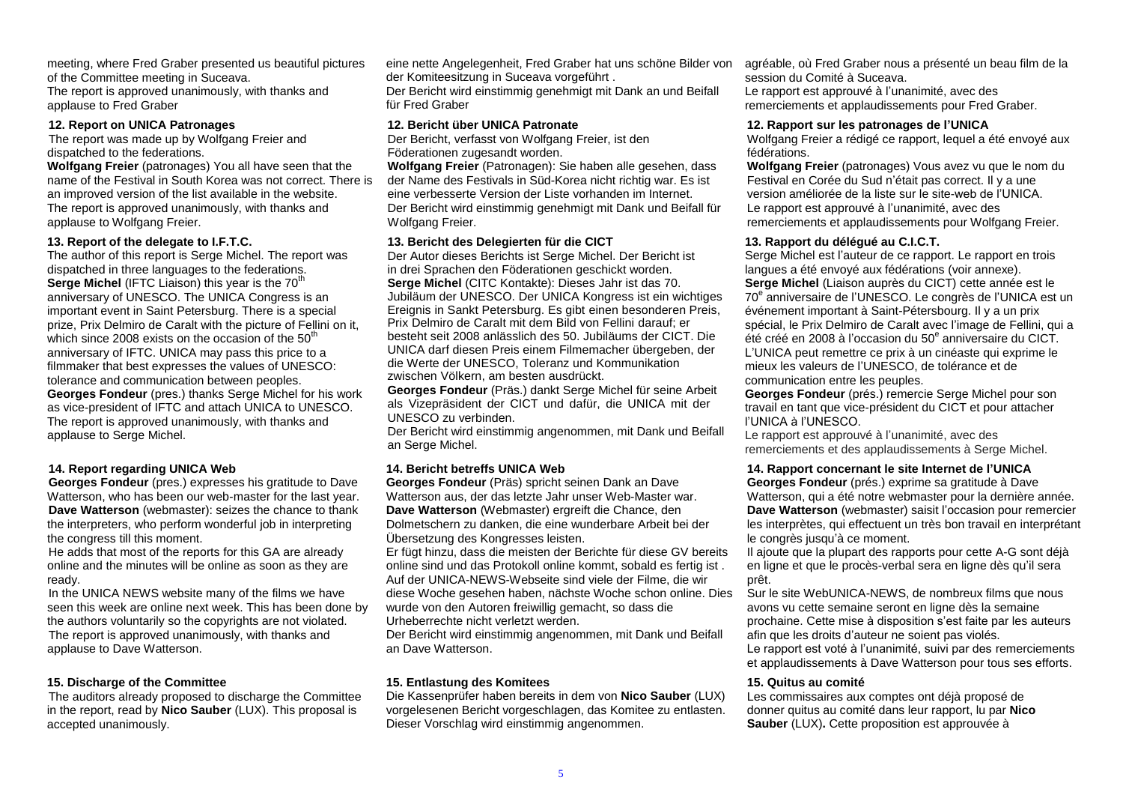meeting, where Fred Graber presented us beautiful pictures of the Committee meeting in Suceava.

The report is approved unanimously, with thanks and applause to Fred Graber

#### **12. Report on UNICA Patronages**

The report was made up by Wolfgang Freier and dispatched to the federations.

**Wolfgang Freier** (patronages) You all have seen that the name of the Festival in South Korea was not correct. There is an improved version of the list available in the website. The report is approved unanimously, with thanks and applause to Wolfgang Freier.

#### **13. Report of the delegate to I.F.T.C.**

The author of this report is Serge Michel. The report was dispatched in three languages to the federations. **Serge Michel (IFTC Liaison) this year is the 70<sup>th</sup>** anniversary of UNESCO. The UNICA Congress is an important event in Saint Petersburg. There is a special prize, Prix Delmiro de Caralt with the picture of Fellini on it, which since 2008 exists on the occasion of the  $50<sup>th</sup>$ anniversary of IFTC. UNICA may pass this price to a filmmaker that best expresses the values of UNESCO: tolerance and communication between peoples. **Georges Fondeur** (pres.) thanks Serge Michel for his work as vice-president of IFTC and attach UNICA to UNESCO. The report is approved unanimously, with thanks and applause to Serge Michel.

## **14. Report regarding UNICA Web**

**Georges Fondeur** (pres.) expresses his gratitude to Dave Watterson, who has been our web-master for the last year. **Dave Watterson** (webmaster): seizes the chance to thank the interpreters, who perform wonderful job in interpreting the congress till this moment.

He adds that most of the reports for this GA are already online and the minutes will be online as soon as they are ready.

In the UNICA NEWS website many of the films we have seen this week are online next week. This has been done by the authors voluntarily so the copyrights are not violated. The report is approved unanimously, with thanks and applause to Dave Watterson.

## **15. Discharge of the Committee**

The auditors already proposed to discharge the Committee in the report, read by **Nico Sauber** (LUX). This proposal is accepted unanimously.

eine nette Angelegenheit, Fred Graber hat uns schöne Bilder von der Komiteesitzung in Suceava vorgeführt .

Der Bericht wird einstimmig genehmigt mit Dank an und Beifall für Fred Graber

#### **12. Bericht über UNICA Patronate**

Der Bericht, verfasst von Wolfgang Freier, ist den Föderationen zugesandt worden.

**Wolfgang Freier** (Patronagen): Sie haben alle gesehen, dass der Name des Festivals in Süd-Korea nicht richtig war. Es ist eine verbesserte Version der Liste vorhanden im Internet. Der Bericht wird einstimmig genehmigt mit Dank und Beifall für Wolfgang Freier.

#### **13. Bericht des Delegierten für die CICT**

Der Autor dieses Berichts ist Serge Michel. Der Bericht ist in drei Sprachen den Föderationen geschickt worden. **Serge Michel** (CITC Kontakte): Dieses Jahr ist das 70. Jubiläum der UNESCO. Der UNICA Kongress ist ein wichtiges Ereignis in Sankt Petersburg. Es gibt einen besonderen Preis, Prix Delmiro de Caralt mit dem Bild von Fellini darauf; er besteht seit 2008 anlässlich des 50. Jubiläums der CICT. Die UNICA darf diesen Preis einem Filmemacher übergeben, der die Werte der UNESCO, Toleranz und Kommunikation zwischen Völkern, am besten ausdrückt.

**Georges Fondeur** (Präs.) dankt Serge Michel für seine Arbeit als Vizepräsident der CICT und dafür, die UNICA mit der UNESCO zu verbinden.

Der Bericht wird einstimmig angenommen, mit Dank und Beifall an Serge Michel.

## **14. Bericht betreffs UNICA Web**

**Georges Fondeur** (Präs) spricht seinen Dank an Dave Watterson aus, der das letzte Jahr unser Web-Master war. **Dave Watterson** (Webmaster) ergreift die Chance, den Dolmetschern zu danken, die eine wunderbare Arbeit bei der Übersetzung des Kongresses leisten.

Er fügt hinzu, dass die meisten der Berichte für diese GV bereits online sind und das Protokoll online kommt, sobald es fertig ist . Auf der UNICA-NEWS-Webseite sind viele der Filme, die wir diese Woche gesehen haben, nächste Woche schon online. Dies wurde von den Autoren freiwillig gemacht, so dass die Urheberrechte nicht verletzt werden.

Der Bericht wird einstimmig angenommen, mit Dank und Beifall an Dave Watterson.

## **15. Entlastung des Komitees**

Die Kassenprüfer haben bereits in dem von **Nico Sauber** (LUX) vorgelesenen Bericht vorgeschlagen, das Komitee zu entlasten. Dieser Vorschlag wird einstimmig angenommen.

agréable, où Fred Graber nous a présenté un beau film de la session du Comité à Suceava. Le rapport est approuvé à l'unanimité, avec des remerciements et applaudissements pour Fred Graber.

#### **12. Rapport sur les patronages de l'UNICA**

Wolfgang Freier a rédigé ce rapport, lequel a été envoyé aux fédérations.

**Wolfgang Freier** (patronages) Vous avez vu que le nom du Festival en Corée du Sud n'était pas correct. Il y a une version améliorée de la liste sur le site-web de l'UNICA. Le rapport est approuvé à l'unanimité, avec des remerciements et applaudissements pour Wolfgang Freier.

#### **13. Rapport du délégué au C.I.C.T.**

Serge Michel est l'auteur de ce rapport. Le rapport en trois langues a été envoyé aux fédérations (voir annexe). Serae Michel *(Liaison auprès du CICT)* cette année est le 70<sup>e</sup> anniversaire de l'UNESCO. Le congrès de l'UNICA est un événement important à Saint-Pétersbourg. Il y a un prix spécial, le Prix Delmiro de Caralt avec l'image de Fellini, qui a été créé en 2008 à l'occasion du 50<sup>e</sup> anniversaire du CICT. L'UNICA peut remettre ce prix à un cinéaste qui exprime le mieux les valeurs de l'UNESCO, de tolérance et de communication entre les peuples.

**Georges Fondeur** (prés.) remercie Serge Michel pour son travail en tant que vice-président du CICT et pour attacher l'UNICA à l'UNESCO.

Le rapport est approuvé à l'unanimité, avec des remerciements et des applaudissements à Serge Michel.

#### **14. Rapport concernant le site Internet de l'UNICA**

**Georges Fondeur** (prés.) exprime sa gratitude à Dave Watterson, qui a été notre webmaster pour la dernière année. **Dave Watterson** (webmaster) saisit l'occasion pour remercier les interprètes, qui effectuent un très bon travail en interprétant le congrès jusqu'à ce moment.

Il ajoute que la plupart des rapports pour cette A-G sont déjà en ligne et que le procès-verbal sera en ligne dès qu'il sera prêt.

Sur le site WebUNICA-NEWS, de nombreux films que nous avons vu cette semaine seront en ligne dès la semaine prochaine. Cette mise à disposition s'est faite par les auteurs afin que les droits d'auteur ne soient pas violés.

Le rapport est voté à l'unanimité, suivi par des remerciements et applaudissements à Dave Watterson pour tous ses efforts.

#### **15. Quitus au comité**

Les commissaires aux comptes ont déjà proposé de donner quitus au comité dans leur rapport, lu par **Nico Sauber** (LUX)**.** Cette proposition est approuvée à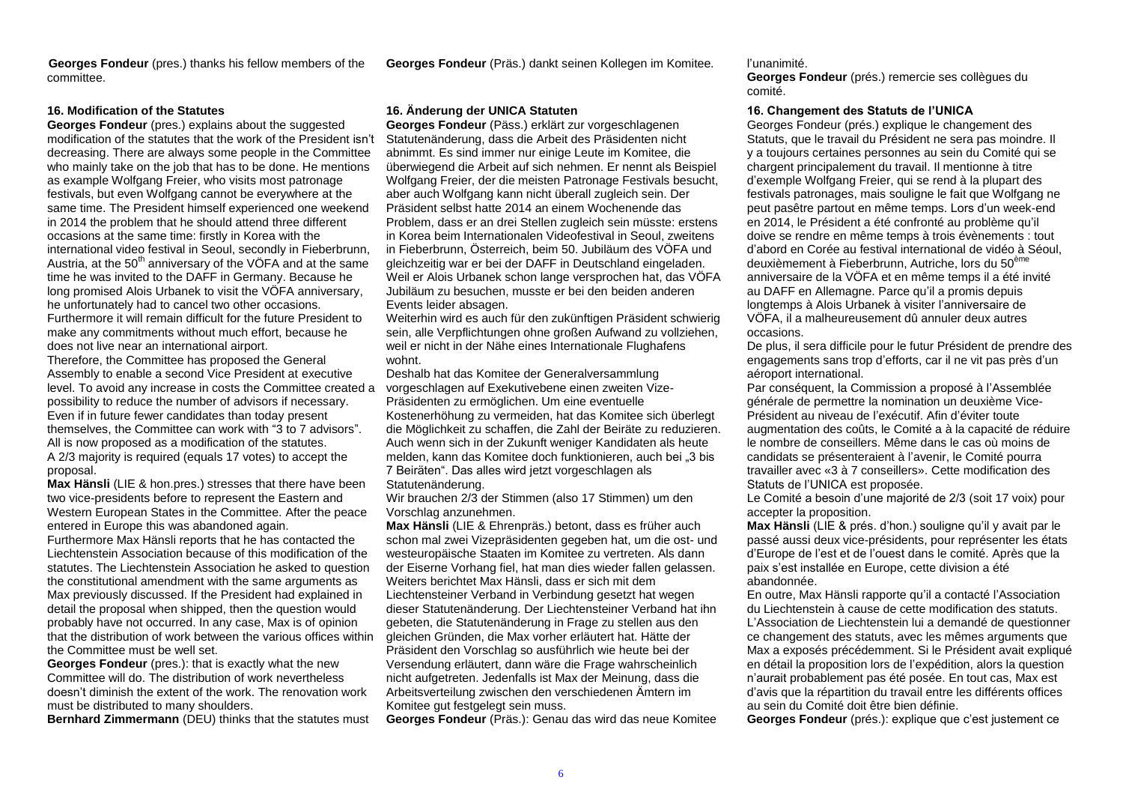**Georges Fondeur** (pres.) thanks his fellow members of the committee.

**Georges Fondeur** (pres.) explains about the suggested modification of the statutes that the work of the President isn't decreasing. There are always some people in the Committee who mainly take on the job that has to be done. He mentions as example Wolfgang Freier, who visits most patronage festivals, but even Wolfgang cannot be everywhere at the same time. The President himself experienced one weekend in 2014 the problem that he should attend three different occasions at the same time: firstly in Korea with the international video festival in Seoul, secondly in Fieberbrunn, Austria, at the  $50<sup>th</sup>$  anniversary of the VÖFA and at the same time he was invited to the DAFF in Germany. Because he long promised Alois Urbanek to visit the VÖFA anniversary, he unfortunately had to cancel two other occasions. Furthermore it will remain difficult for the future President to make any commitments without much effort, because he does not live near an international airport. Therefore, the Committee has proposed the General Assembly to enable a second Vice President at executive level. To avoid any increase in costs the Committee created a possibility to reduce the number of advisors if necessary. Even if in future fewer candidates than today present themselves, the Committee can work with "3 to 7 advisors". All is now proposed as a modification of the statutes.

A 2/3 majority is required (equals 17 votes) to accept the proposal.

**Max Hänsli** (LIE & hon.pres.) stresses that there have been two vice-presidents before to represent the Eastern and Western European States in the Committee. After the peace entered in Europe this was abandoned again.

Furthermore Max Hänsli reports that he has contacted the Liechtenstein Association because of this modification of the statutes. The Liechtenstein Association he asked to question the constitutional amendment with the same arguments as Max previously discussed. If the President had explained in detail the proposal when shipped, then the question would probably have not occurred. In any case, Max is of opinion that the distribution of work between the various offices within the Committee must be well set.

**Georges Fondeur** (pres.): that is exactly what the new Committee will do. The distribution of work nevertheless doesn't diminish the extent of the work. The renovation work must be distributed to many shoulders.

**Bernhard Zimmermann** (DEU) thinks that the statutes must

**Georges Fondeur** (Päss.) erklärt zur vorgeschlagenen Statutenänderung, dass die Arbeit des Präsidenten nicht abnimmt. Es sind immer nur einige Leute im Komitee, die überwiegend die Arbeit auf sich nehmen. Er nennt als Beispiel Wolfgang Freier, der die meisten Patronage Festivals besucht, aber auch Wolfgang kann nicht überall zugleich sein. Der Präsident selbst hatte 2014 an einem Wochenende das Problem, dass er an drei Stellen zugleich sein müsste: erstens in Korea beim Internationalen Videofestival in Seoul, zweitens in Fieberbrunn, Österreich, beim 50. Jubiläum des VÖFA und gleichzeitig war er bei der DAFF in Deutschland eingeladen. Weil er Alois Urbanek schon lange versprochen hat, das VÖFA Jubiläum zu besuchen, musste er bei den beiden anderen Events leider absagen.

Weiterhin wird es auch für den zukünftigen Präsident schwierig sein, alle Verpflichtungen ohne großen Aufwand zu vollziehen, weil er nicht in der Nähe eines Internationale Flughafens wohnt.

Deshalb hat das Komitee der Generalversammlung vorgeschlagen auf Exekutivebene einen zweiten Vize-Präsidenten zu ermöglichen. Um eine eventuelle Kostenerhöhung zu vermeiden, hat das Komitee sich überlegt die Möglichkeit zu schaffen, die Zahl der Beiräte zu reduzieren. Auch wenn sich in der Zukunft weniger Kandidaten als heute melden, kann das Komitee doch funktionieren, auch bei "3 bis 7 Beiräten". Das alles wird jetzt vorgeschlagen als Statutenänderung.

Wir brauchen 2/3 der Stimmen (also 17 Stimmen) um den Vorschlag anzunehmen.

**Max Hänsli** (LIE & Ehrenpräs.) betont, dass es früher auch schon mal zwei Vizepräsidenten gegeben hat, um die ost- und westeuropäische Staaten im Komitee zu vertreten. Als dann der Eiserne Vorhang fiel, hat man dies wieder fallen gelassen. Weiters berichtet Max Hänsli, dass er sich mit dem Liechtensteiner Verband in Verbindung gesetzt hat wegen dieser Statutenänderung. Der Liechtensteiner Verband hat ihn gebeten, die Statutenänderung in Frage zu stellen aus den gleichen Gründen, die Max vorher erläutert hat. Hätte der Präsident den Vorschlag so ausführlich wie heute bei der Versendung erläutert, dann wäre die Frage wahrscheinlich nicht aufgetreten. Jedenfalls ist Max der Meinung, dass die Arbeitsverteilung zwischen den verschiedenen Ämtern im Komitee gut festgelegt sein muss.

**Georges Fondeur** (Präs.): Genau das wird das neue Komitee

#### **Georges Fondeur** (Präs.) dankt seinen Kollegen im Komitee. l'unanimité.

**Georges Fondeur** (prés.) remercie ses collègues du comité.

#### **16. Modification of the Statutes 16. Änderung der UNICA Statuten 16. Changement des Statuts de l'UNICA**

Georges Fondeur (prés.) explique le changement des Statuts, que le travail du Président ne sera pas moindre. Il y a toujours certaines personnes au sein du Comité qui se chargent principalement du travail. Il mentionne à titre d'exemple Wolfgang Freier, qui se rend à la plupart des festivals patronages, mais souligne le fait que Wolfgang ne peut pasêtre partout en même temps. Lors d'un week-end en 2014, le Président a été confronté au problème qu'il doive se rendre en même temps à trois évènements : tout d'abord en Corée au festival international de vidéo à Séoul, deuxièmement à Fieberbrunn, Autriche, lors du 50ème anniversaire de la VÖFA et en même temps il a été invité au DAFF en Allemagne. Parce qu'il a promis depuis longtemps à Alois Urbanek à visiter l'anniversaire de VÖFA, il a malheureusement dû annuler deux autres occasions.

De plus, il sera difficile pour le futur Président de prendre des engagements sans trop d'efforts, car il ne vit pas près d'un aéroport international.

Par conséquent, la Commission a proposé à l'Assemblée générale de permettre la nomination un deuxième Vice-Président au niveau de l'exécutif. Afin d'éviter toute augmentation des coûts, le Comité a à la capacité de réduire le nombre de conseillers. Même dans le cas où moins de candidats se présenteraient à l'avenir, le Comité pourra travailler avec «3 à 7 conseillers». Cette modification des Statuts de l'UNICA est proposée.

Le Comité a besoin d'une majorité de 2/3 (soit 17 voix) pour accepter la proposition.

**Max Hänsli** (LIE & prés. d'hon.) souligne qu'il y avait par le passé aussi deux vice-présidents, pour représenter les états d'Europe de l'est et de l'ouest dans le comité. Après que la paix s'est installée en Europe, cette division a été abandonnée.

En outre, Max Hänsli rapporte qu'il a contacté l'Association du Liechtenstein à cause de cette modification des statuts. L'Association de Liechtenstein lui a demandé de questionner ce changement des statuts, avec les mêmes arguments que Max a exposés précédemment. Si le Président avait expliqué en détail la proposition lors de l'expédition, alors la question n'aurait probablement pas été posée. En tout cas, Max est d'avis que la répartition du travail entre les différents offices au sein du Comité doit être bien définie.

**Georges Fondeur** (prés.): explique que c'est justement ce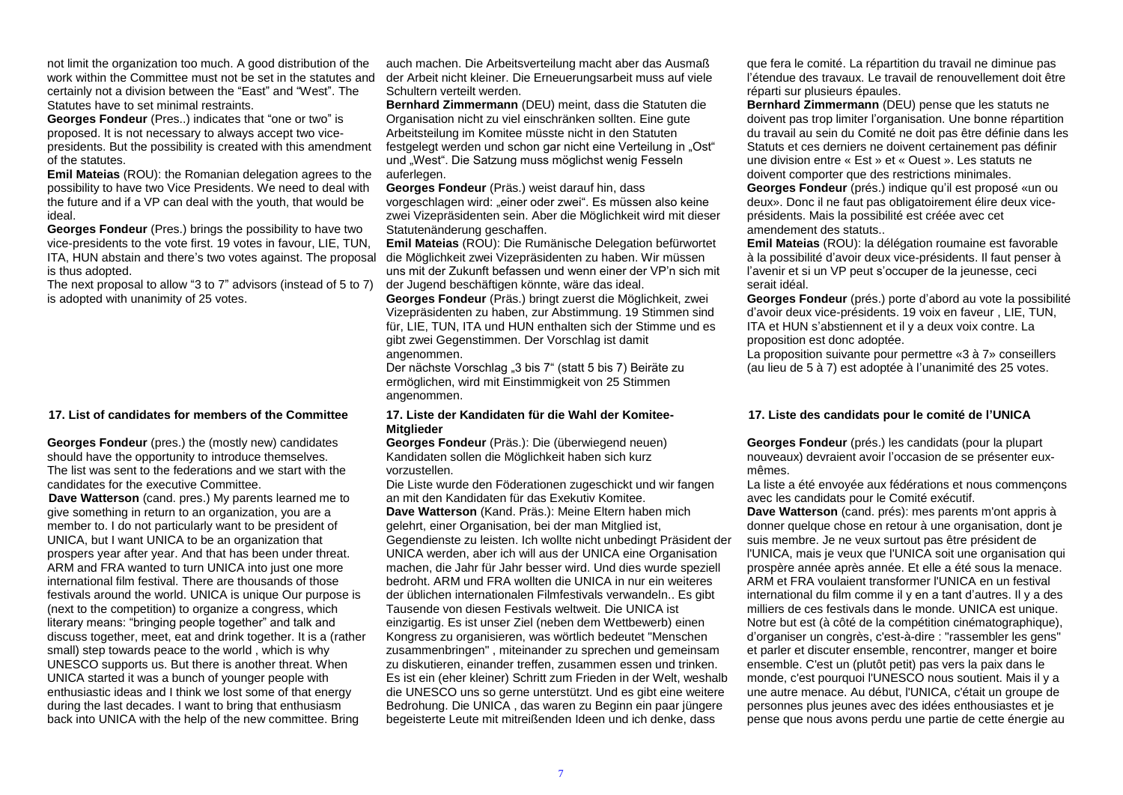not limit the organization too much. A good distribution of the work within the Committee must not be set in the statutes and certainly not a division between the "East" and "West". The Statutes have to set minimal restraints.

**Georges Fondeur** (Pres..) indicates that "one or two" is proposed. It is not necessary to always accept two vicepresidents. But the possibility is created with this amendment of the statutes.

**Emil Mateias** (ROU): the Romanian delegation agrees to the possibility to have two Vice Presidents. We need to deal with the future and if a VP can deal with the youth, that would be ideal.

**Georges Fondeur** (Pres.) brings the possibility to have two vice-presidents to the vote first. 19 votes in favour, LIE, TUN, ITA, HUN abstain and there's two votes against. The proposal is thus adopted.

The next proposal to allow "3 to 7" advisors (instead of 5 to 7) is adopted with unanimity of 25 votes.

#### **17. List of candidates for members of the Committee 17. Liste der Kandidaten für die Wahl der Komitee-**

**Georges Fondeur** (pres.) the (mostly new) candidates should have the opportunity to introduce themselves. The list was sent to the federations and we start with the candidates for the executive Committee.

**Dave Watterson** (cand. pres.) My parents learned me to give something in return to an organization, you are a member to. I do not particularly want to be president of UNICA, but I want UNICA to be an organization that prospers year after year. And that has been under threat. ARM and FRA wanted to turn UNICA into just one more international film festival. There are thousands of those festivals around the world. UNICA is unique Our purpose is (next to the competition) to organize a congress, which literary means: "bringing people together" and talk and discuss together, meet, eat and drink together. It is a (rather small) step towards peace to the world , which is why UNESCO supports us. But there is another threat. When UNICA started it was a bunch of younger people with enthusiastic ideas and I think we lost some of that energy during the last decades. I want to bring that enthusiasm back into UNICA with the help of the new committee. Bring

auch machen. Die Arbeitsverteilung macht aber das Ausmaß der Arbeit nicht kleiner. Die Erneuerungsarbeit muss auf viele Schultern verteilt werden.

**Bernhard Zimmermann** (DEU) meint, dass die Statuten die Organisation nicht zu viel einschränken sollten. Eine gute Arbeitsteilung im Komitee müsste nicht in den Statuten festgelegt werden und schon gar nicht eine Verteilung in "Ost" und "West". Die Satzung muss möglichst wenig Fesseln auferlegen.

**Georges Fondeur** (Präs.) weist darauf hin, dass vorgeschlagen wird: "einer oder zwei". Es müssen also keine zwei Vizepräsidenten sein. Aber die Möglichkeit wird mit dieser Statutenänderung geschaffen.

**Emil Mateias** (ROU): Die Rumänische Delegation befürwortet die Möglichkeit zwei Vizepräsidenten zu haben. Wir müssen uns mit der Zukunft befassen und wenn einer der VP'n sich mit der Jugend beschäftigen könnte, wäre das ideal.

**Georges Fondeur** (Präs.) bringt zuerst die Möglichkeit, zwei Vizepräsidenten zu haben, zur Abstimmung. 19 Stimmen sind für, LIE, TUN, ITA und HUN enthalten sich der Stimme und es gibt zwei Gegenstimmen. Der Vorschlag ist damit angenommen.

Der nächste Vorschlag "3 bis 7" (statt 5 bis 7) Beiräte zu ermöglichen, wird mit Einstimmigkeit von 25 Stimmen angenommen.

## **Mitglieder**

**Georges Fondeur** (Präs.): Die (überwiegend neuen) Kandidaten sollen die Möglichkeit haben sich kurz vorzustellen.

Die Liste wurde den Föderationen zugeschickt und wir fangen an mit den Kandidaten für das Exekutiv Komitee. **Dave Watterson** (Kand. Präs.): Meine Eltern haben mich gelehrt, einer Organisation, bei der man Mitglied ist, Gegendienste zu leisten. Ich wollte nicht unbedingt Präsident der UNICA werden, aber ich will aus der UNICA eine Organisation machen, die Jahr für Jahr besser wird. Und dies wurde speziell bedroht. ARM und FRA wollten die UNICA in nur ein weiteres der üblichen internationalen Filmfestivals verwandeln.. Es gibt Tausende von diesen Festivals weltweit. Die UNICA ist einzigartig. Es ist unser Ziel (neben dem Wettbewerb) einen Kongress zu organisieren, was wörtlich bedeutet "Menschen zusammenbringen" , miteinander zu sprechen und gemeinsam zu diskutieren, einander treffen, zusammen essen und trinken. Es ist ein (eher kleiner) Schritt zum Frieden in der Welt, weshalb die UNESCO uns so gerne unterstützt. Und es gibt eine weitere Bedrohung. Die UNICA , das waren zu Beginn ein paar jüngere begeisterte Leute mit mitreißenden Ideen und ich denke, dass

que fera le comité. La répartition du travail ne diminue pas l'étendue des travaux. Le travail de renouvellement doit être réparti sur plusieurs épaules.

**Bernhard Zimmermann** (DEU) pense que les statuts ne doivent pas trop limiter l'organisation. Une bonne répartition du travail au sein du Comité ne doit pas être définie dans les Statuts et ces derniers ne doivent certainement pas définir une division entre « Est » et « Ouest ». Les statuts ne doivent comporter que des restrictions minimales.

**Georges Fondeur** (prés.) indique qu'il est proposé «un ou deux». Donc il ne faut pas obligatoirement élire deux viceprésidents. Mais la possibilité est créée avec cet amendement des statuts..

**Emil Mateias** (ROU): la délégation roumaine est favorable à la possibilité d'avoir deux vice-présidents. Il faut penser à l'avenir et si un VP peut s'occuper de la jeunesse, ceci serait idéal.

**Georges Fondeur** (prés.) porte d'abord au vote la possibilité d'avoir deux vice-présidents. 19 voix en faveur , LIE, TUN, ITA et HUN s'abstiennent et il y a deux voix contre. La proposition est donc adoptée.

La proposition suivante pour permettre «3 à 7» conseillers (au lieu de 5 à 7) est adoptée à l'unanimité des 25 votes.

#### **17. Liste des candidats pour le comité de l'UNICA**

**Georges Fondeur** (prés.) les candidats (pour la plupart nouveaux) devraient avoir l'occasion de se présenter euxmêmes.

La liste a été envoyée aux fédérations et nous commençons avec les candidats pour le Comité exécutif.

**Dave Watterson** (cand. prés): mes parents m'ont appris à donner quelque chose en retour à une organisation, dont je suis membre. Je ne veux surtout pas être président de l'UNICA, mais je veux que l'UNICA soit une organisation qui prospère année après année. Et elle a été sous la menace. ARM et FRA voulaient transformer l'UNICA en un festival international du film comme il y en a tant d'autres. Il y a des milliers de ces festivals dans le monde. UNICA est unique. Notre but est (à côté de la compétition cinématographique), d'organiser un congrès, c'est-à-dire : "rassembler les gens" et parler et discuter ensemble, rencontrer, manger et boire ensemble. C'est un (plutôt petit) pas vers la paix dans le monde, c'est pourquoi l'UNESCO nous soutient. Mais il y a une autre menace. Au début, l'UNICA, c'était un groupe de personnes plus jeunes avec des idées enthousiastes et je pense que nous avons perdu une partie de cette énergie au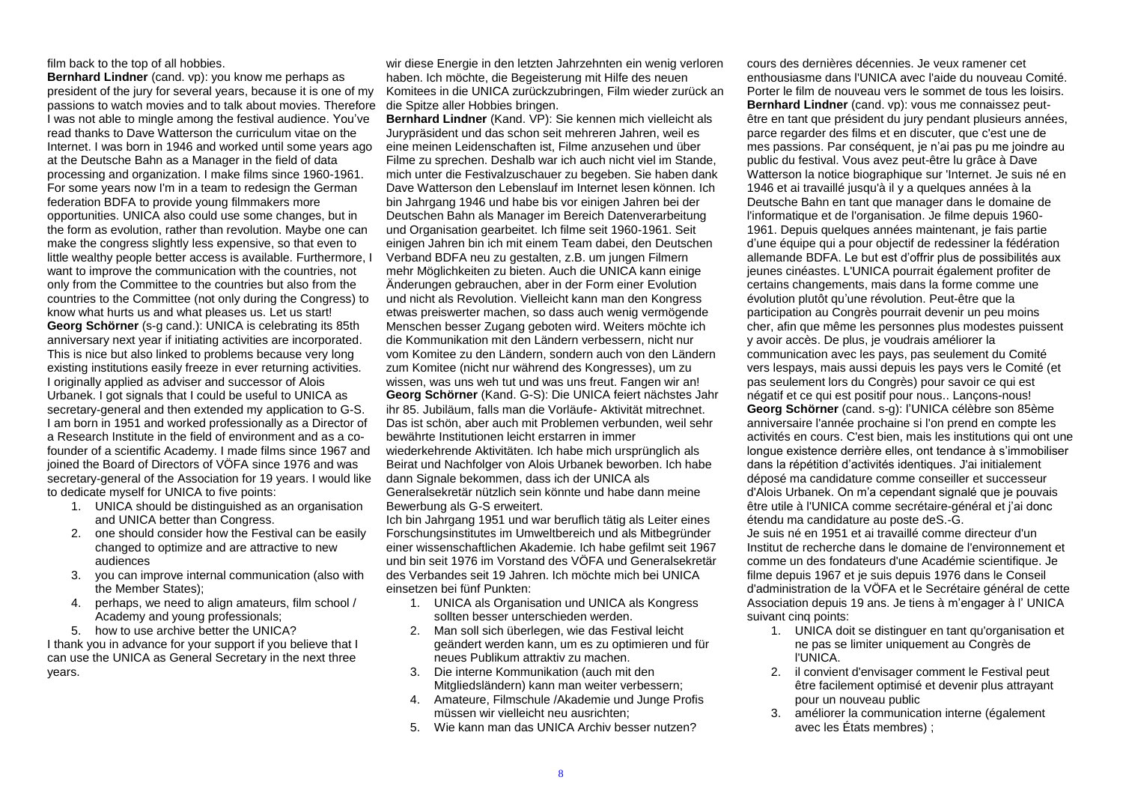#### film back to the top of all hobbies.

**Bernhard Lindner** (cand. vp): you know me perhaps as president of the jury for several years, because it is one of my passions to watch movies and to talk about movies. Therefore I was not able to mingle among the festival audience. You've read thanks to Dave Watterson the curriculum vitae on the Internet. I was born in 1946 and worked until some years ago at the Deutsche Bahn as a Manager in the field of data processing and organization. I make films since 1960-1961. For some years now I'm in a team to redesign the German federation BDFA to provide young filmmakers more opportunities. UNICA also could use some changes, but in the form as evolution, rather than revolution. Maybe one can make the congress slightly less expensive, so that even to little wealthy people better access is available. Furthermore, I want to improve the communication with the countries, not only from the Committee to the countries but also from the countries to the Committee (not only during the Congress) to know what hurts us and what pleases us. Let us start! **Georg Schörner** (s-g cand.): UNICA is celebrating its 85th anniversary next year if initiating activities are incorporated. This is nice but also linked to problems because very long existing institutions easily freeze in ever returning activities. I originally applied as adviser and successor of Alois Urbanek. I got signals that I could be useful to UNICA as secretary-general and then extended my application to G-S. I am born in 1951 and worked professionally as a Director of a Research Institute in the field of environment and as a cofounder of a scientific Academy. I made films since 1967 and joined the Board of Directors of VÖFA since 1976 and was secretary-general of the Association for 19 years. I would like to dedicate myself for UNICA to five points:

- 1. UNICA should be distinguished as an organisation and UNICA better than Congress.
- 2. one should consider how the Festival can be easily changed to optimize and are attractive to new audiences
- 3. you can improve internal communication (also with the Member States);
- 4. perhaps, we need to align amateurs, film school / Academy and young professionals;
- 5. how to use archive better the UNICA?

I thank you in advance for your support if you believe that I can use the UNICA as General Secretary in the next three years.

wir diese Energie in den letzten Jahrzehnten ein wenig verloren haben. Ich möchte, die Begeisterung mit Hilfe des neuen Komitees in die UNICA zurückzubringen, Film wieder zurück an die Spitze aller Hobbies bringen.

**Bernhard Lindner** (Kand. VP): Sie kennen mich vielleicht als Jurypräsident und das schon seit mehreren Jahren, weil es eine meinen Leidenschaften ist, Filme anzusehen und über Filme zu sprechen. Deshalb war ich auch nicht viel im Stande, mich unter die Festivalzuschauer zu begeben. Sie haben dank Dave Watterson den Lebenslauf im Internet lesen können. Ich bin Jahrgang 1946 und habe bis vor einigen Jahren bei der Deutschen Bahn als Manager im Bereich Datenverarbeitung und Organisation gearbeitet. Ich filme seit 1960-1961. Seit einigen Jahren bin ich mit einem Team dabei, den Deutschen Verband BDFA neu zu gestalten, z.B. um jungen Filmern mehr Möglichkeiten zu bieten. Auch die UNICA kann einige Änderungen gebrauchen, aber in der Form einer Evolution und nicht als Revolution. Vielleicht kann man den Kongress etwas preiswerter machen, so dass auch wenig vermögende Menschen besser Zugang geboten wird. Weiters möchte ich die Kommunikation mit den Ländern verbessern, nicht nur vom Komitee zu den Ländern, sondern auch von den Ländern zum Komitee (nicht nur während des Kongresses), um zu wissen, was uns weh tut und was uns freut. Fangen wir an! **Georg Schörner** (Kand. G-S): Die UNICA feiert nächstes Jahr ihr 85. Jubiläum, falls man die Vorläufe- Aktivität mitrechnet. Das ist schön, aber auch mit Problemen verbunden, weil sehr bewährte Institutionen leicht erstarren in immer wiederkehrende Aktivitäten. Ich habe mich ursprünglich als Beirat und Nachfolger von Alois Urbanek beworben. Ich habe dann Signale bekommen, dass ich der UNICA als Generalsekretär nützlich sein könnte und habe dann meine Bewerbung als G-S erweitert.

Ich bin Jahrgang 1951 und war beruflich tätig als Leiter eines Forschungsinstitutes im Umweltbereich und als Mitbegründer einer wissenschaftlichen Akademie. Ich habe gefilmt seit 1967 und bin seit 1976 im Vorstand des VÖFA und Generalsekretär des Verbandes seit 19 Jahren. Ich möchte mich bei UNICA einsetzen bei fünf Punkten:

- 1. UNICA als Organisation und UNICA als Kongress sollten besser unterschieden werden.
- 2. Man soll sich überlegen, wie das Festival leicht geändert werden kann, um es zu optimieren und für neues Publikum attraktiv zu machen.
- 3. Die interne Kommunikation (auch mit den Mitgliedsländern) kann man weiter verbessern;
- 4. Amateure, Filmschule /Akademie und Junge Profis müssen wir vielleicht neu ausrichten;
- 5. Wie kann man das UNICA Archiv besser nutzen?

cours des dernières décennies. Je veux ramener cet enthousiasme dans l'UNICA avec l'aide du nouveau Comité. Porter le film de nouveau vers le sommet de tous les loisirs. **Bernhard Lindner** (cand. vp): vous me connaissez peutêtre en tant que président du jury pendant plusieurs années, parce regarder des films et en discuter, que c'est une de mes passions. Par conséquent, je n'ai pas pu me joindre au public du festival. Vous avez peut-être lu grâce à Dave Watterson la notice biographique sur 'Internet. Je suis né en 1946 et ai travaillé jusqu'à il y a quelques années à la Deutsche Bahn en tant que manager dans le domaine de l'informatique et de l'organisation. Je filme depuis 1960- 1961. Depuis quelques années maintenant, je fais partie d'une équipe qui a pour objectif de redessiner la fédération allemande BDFA. Le but est d'offrir plus de possibilités aux jeunes cinéastes. L'UNICA pourrait également profiter de certains changements, mais dans la forme comme une évolution plutôt qu'une révolution. Peut-être que la participation au Congrès pourrait devenir un peu moins cher, afin que même les personnes plus modestes puissent y avoir accès. De plus, je voudrais améliorer la communication avec les pays, pas seulement du Comité vers lespays, mais aussi depuis les pays vers le Comité (et pas seulement lors du Congrès) pour savoir ce qui est négatif et ce qui est positif pour nous.. Lançons-nous! **Georg Schörner** (cand. s-g): l'UNICA célèbre son 85ème anniversaire l'année prochaine si l'on prend en compte les activités en cours. C'est bien, mais les institutions qui ont une longue existence derrière elles, ont tendance à s'immobiliser dans la répétition d'activités identiques. J'ai initialement déposé ma candidature comme conseiller et successeur d'Alois Urbanek. On m'a cependant signalé que je pouvais être utile à l'UNICA comme secrétaire-général et j'ai donc étendu ma candidature au poste deS.-G. Je suis né en 1951 et ai travaillé comme directeur d'un Institut de recherche dans le domaine de l'environnement et comme un des fondateurs d'une Académie scientifique. Je filme depuis 1967 et je suis depuis 1976 dans le Conseil d'administration de la VÖFA et le Secrétaire général de cette Association depuis 19 ans. Je tiens à m'engager à l' UNICA

- suivant cinq points: 1. UNICA doit se distinguer en tant qu'organisation et ne pas se limiter uniquement au Congrès de l'UNICA.
	- 2. il convient d'envisager comment le Festival peut être facilement optimisé et devenir plus attrayant pour un nouveau public
	- 3. améliorer la communication interne (également avec les États membres) ;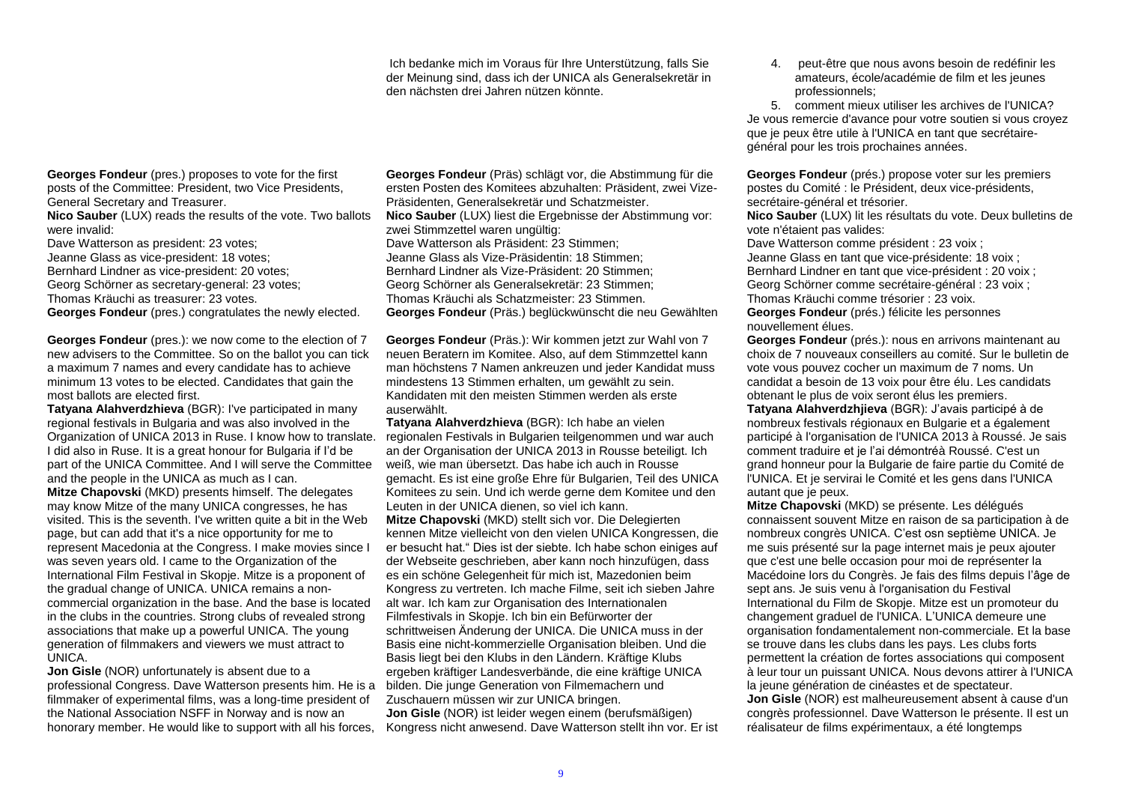Ich bedanke mich im Voraus für Ihre Unterstützung, falls Sie der Meinung sind, dass ich der UNICA als Generalsekretär in den nächsten drei Jahren nützen könnte.

**Georges Fondeur** (pres.) proposes to vote for the first posts of the Committee: President, two Vice Presidents, General Secretary and Treasurer. **Nico Sauber** (LUX) reads the results of the vote. Two ballots

were invalid:

Dave Watterson as president: 23 votes; Jeanne Glass as vice-president: 18 votes; Bernhard Lindner as vice-president: 20 votes; Georg Schörner as secretary-general: 23 votes; Thomas Kräuchi as treasurer: 23 votes.

**Georges Fondeur** (pres.) congratulates the newly elected.

**Georges Fondeur** (pres.): we now come to the election of 7 new advisers to the Committee. So on the ballot you can tick a maximum 7 names and every candidate has to achieve minimum 13 votes to be elected. Candidates that gain the most ballots are elected first.

**Tatyana Alahverdzhieva** (BGR): I've participated in many regional festivals in Bulgaria and was also involved in the Organization of UNICA 2013 in Ruse. I know how to translate. I did also in Ruse. It is a great honour for Bulgaria if I'd be part of the UNICA Committee. And I will serve the Committee and the people in the UNICA as much as I can.

**Mitze Chapovski** (MKD) presents himself. The delegates may know Mitze of the many UNICA congresses, he has visited. This is the seventh. I've written quite a bit in the Web page, but can add that it's a nice opportunity for me to represent Macedonia at the Congress. I make movies since I was seven years old. I came to the Organization of the International Film Festival in Skopje. Mitze is a proponent of the gradual change of UNICA. UNICA remains a noncommercial organization in the base. And the base is located in the clubs in the countries. Strong clubs of revealed strong associations that make up a powerful UNICA. The young generation of filmmakers and viewers we must attract to UNICA.

**Jon Gisle** (NOR) unfortunately is absent due to a professional Congress. Dave Watterson presents him. He is a filmmaker of experimental films, was a long-time president of the National Association NSFF in Norway and is now an honorary member. He would like to support with all his forces,

**Georges Fondeur** (Präs) schlägt vor, die Abstimmung für die ersten Posten des Komitees abzuhalten: Präsident, zwei Vize-Präsidenten, Generalsekretär und Schatzmeister. **Nico Sauber** (LUX) liest die Ergebnisse der Abstimmung vor: zwei Stimmzettel waren ungültig: Dave Watterson als Präsident: 23 Stimmen; Jeanne Glass als Vize-Präsidentin: 18 Stimmen; Bernhard Lindner als Vize-Präsident: 20 Stimmen; Georg Schörner als Generalsekretär: 23 Stimmen; Thomas Kräuchi als Schatzmeister: 23 Stimmen. **Georges Fondeur** (Präs.) beglückwünscht die neu Gewählten

**Georges Fondeur** (Präs.): Wir kommen jetzt zur Wahl von 7 neuen Beratern im Komitee. Also, auf dem Stimmzettel kann man höchstens 7 Namen ankreuzen und jeder Kandidat muss mindestens 13 Stimmen erhalten, um gewählt zu sein. Kandidaten mit den meisten Stimmen werden als erste auserwählt.

**Tatyana Alahverdzhieva** (BGR): Ich habe an vielen regionalen Festivals in Bulgarien teilgenommen und war auch an der Organisation der UNICA 2013 in Rousse beteiligt. Ich weiß, wie man übersetzt. Das habe ich auch in Rousse gemacht. Es ist eine große Ehre für Bulgarien, Teil des UNICA Komitees zu sein. Und ich werde gerne dem Komitee und den Leuten in der UNICA dienen, so viel ich kann.

**Mitze Chapovski** (MKD) stellt sich vor. Die Delegierten kennen Mitze vielleicht von den vielen UNICA Kongressen, die er besucht hat." Dies ist der siebte. Ich habe schon einiges auf der Webseite geschrieben, aber kann noch hinzufügen, dass es ein schöne Gelegenheit für mich ist, Mazedonien beim Kongress zu vertreten. Ich mache Filme, seit ich sieben Jahre alt war. Ich kam zur Organisation des Internationalen Filmfestivals in Skopje. Ich bin ein Befürworter der schrittweisen Änderung der UNICA. Die UNICA muss in der Basis eine nicht-kommerzielle Organisation bleiben. Und die Basis liegt bei den Klubs in den Ländern. Kräftige Klubs ergeben kräftiger Landesverbände, die eine kräftige UNICA bilden. Die junge Generation von Filmemachern und Zuschauern müssen wir zur UNICA bringen. **Jon Gisle** (NOR) ist leider wegen einem (berufsmäßigen) Kongress nicht anwesend. Dave Watterson stellt ihn vor. Er ist 4. peut-être que nous avons besoin de redéfinir les amateurs, école/académie de film et les jeunes professionnels;

5. comment mieux utiliser les archives de l'UNICA? Je vous remercie d'avance pour votre soutien si vous croyez que je peux être utile à l'UNICA en tant que secrétairegénéral pour les trois prochaines années.

**Georges Fondeur** (prés.) propose voter sur les premiers postes du Comité : le Président, deux vice-présidents, secrétaire-général et trésorier.

**Nico Sauber** (LUX) lit les résultats du vote. Deux bulletins de vote n'étaient pas valides:

Dave Watterson comme président : 23 voix ; Jeanne Glass en tant que vice-présidente: 18 voix ; Bernhard Lindner en tant que vice-président : 20 voix ; Georg Schörner comme secrétaire-général : 23 voix ; Thomas Kräuchi comme trésorier : 23 voix. **Georges Fondeur** (prés.) félicite les personnes

nouvellement élues.

**Georges Fondeur** (prés.): nous en arrivons maintenant au choix de 7 nouveaux conseillers au comité. Sur le bulletin de vote vous pouvez cocher un maximum de 7 noms. Un candidat a besoin de 13 voix pour être élu. Les candidats obtenant le plus de voix seront élus les premiers.

**Tatyana Alahverdzhjieva** (BGR): J'avais participé à de nombreux festivals régionaux en Bulgarie et a également participé à l'organisation de l'UNICA 2013 à Roussé. Je sais comment traduire et je l'ai démontréà Roussé. C'est un grand honneur pour la Bulgarie de faire partie du Comité de l'UNICA. Et je servirai le Comité et les gens dans l'UNICA autant que je peux.

**Mitze Chapovski** (MKD) se présente. Les délégués connaissent souvent Mitze en raison de sa participation à de nombreux congrès UNICA. C'est osn septième UNICA. Je me suis présenté sur la page internet mais je peux ajouter que c'est une belle occasion pour moi de représenter la Macédoine lors du Congrès. Je fais des films depuis l'âge de sept ans. Je suis venu à l'organisation du Festival International du Film de Skopje. Mitze est un promoteur du changement graduel de l'UNICA. L'UNICA demeure une organisation fondamentalement non-commerciale. Et la base se trouve dans les clubs dans les pays. Les clubs forts permettent la création de fortes associations qui composent à leur tour un puissant UNICA. Nous devons attirer à l'UNICA la jeune génération de cinéastes et de spectateur. **Jon Gisle** (NOR) est malheureusement absent à cause d'un congrès professionnel. Dave Watterson le présente. Il est un réalisateur de films expérimentaux, a été longtemps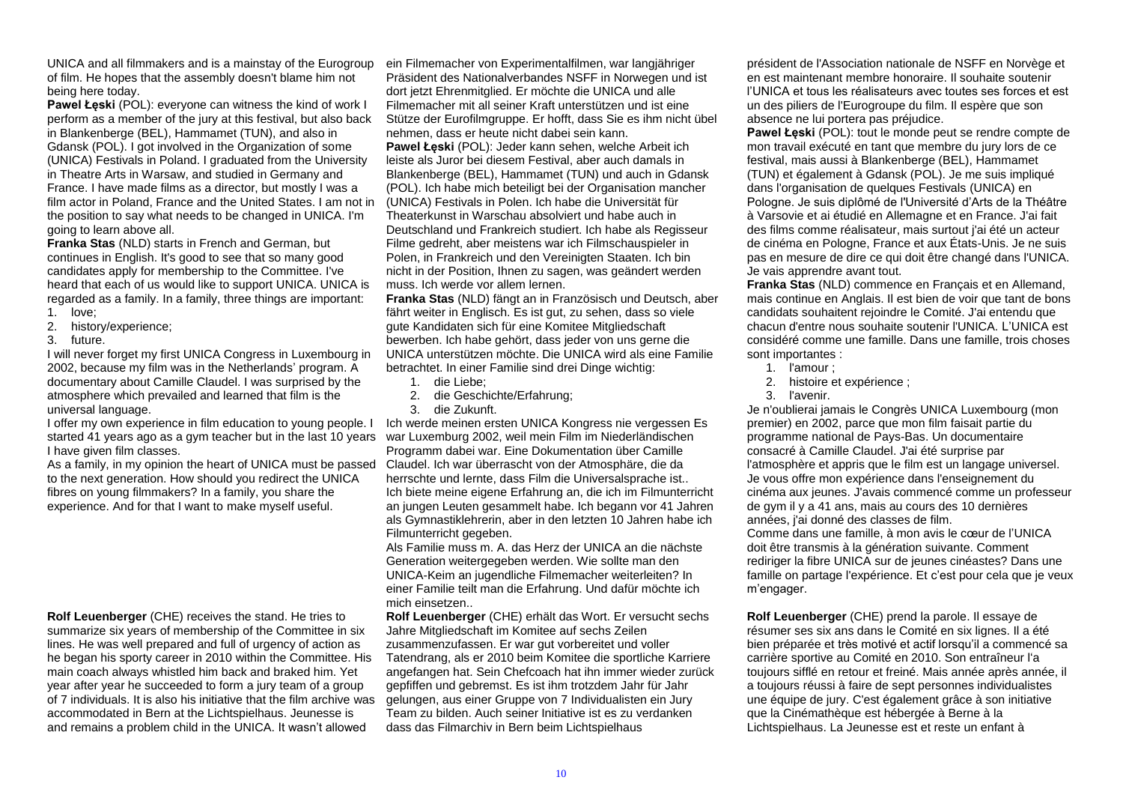UNICA and all filmmakers and is a mainstay of the Eurogroup of film. He hopes that the assembly doesn't blame him not being here today.

**Pawel Łeski** (POL): everyone can witness the kind of work I perform as a member of the jury at this festival, but also back in Blankenberge (BEL), Hammamet (TUN), and also in Gdansk (POL). I got involved in the Organization of some (UNICA) Festivals in Poland. I graduated from the University in Theatre Arts in Warsaw, and studied in Germany and France. I have made films as a director, but mostly I was a film actor in Poland, France and the United States. I am not in the position to say what needs to be changed in UNICA. I'm going to learn above all.

**Franka Stas** (NLD) starts in French and German, but continues in English. It's good to see that so many good candidates apply for membership to the Committee. I've heard that each of us would like to support UNICA. UNICA is regarded as a family. In a family, three things are important: 1. love;

- 
- 2. history/experience;
- 3. future.

I will never forget my first UNICA Congress in Luxembourg in 2002, because my film was in the Netherlands' program. A documentary about Camille Claudel. I was surprised by the atmosphere which prevailed and learned that film is the universal language.

I offer my own experience in film education to young people. I started 41 years ago as a gym teacher but in the last 10 years war Luxemburg 2002, weil mein Film im Niederländischen I have given film classes.

As a family, in my opinion the heart of UNICA must be passed to the next generation. How should you redirect the UNICA fibres on young filmmakers? In a family, you share the experience. And for that I want to make myself useful.

**Rolf Leuenberger** (CHE) receives the stand. He tries to summarize six years of membership of the Committee in six lines. He was well prepared and full of urgency of action as he began his sporty career in 2010 within the Committee. His main coach always whistled him back and braked him. Yet year after year he succeeded to form a jury team of a group of 7 individuals. It is also his initiative that the film archive was accommodated in Bern at the Lichtspielhaus. Jeunesse is and remains a problem child in the UNICA. It wasn't allowed

ein Filmemacher von Experimentalfilmen, war langjähriger Präsident des Nationalverbandes NSFF in Norwegen und ist dort jetzt Ehrenmitglied. Er möchte die UNICA und alle Filmemacher mit all seiner Kraft unterstützen und ist eine Stütze der Eurofilmgruppe. Er hofft, dass Sie es ihm nicht übel nehmen, dass er heute nicht dabei sein kann.

**Pawel Łęski** (POL): Jeder kann sehen, welche Arbeit ich leiste als Juror bei diesem Festival, aber auch damals in Blankenberge (BEL), Hammamet (TUN) und auch in Gdansk (POL). Ich habe mich beteiligt bei der Organisation mancher (UNICA) Festivals in Polen. Ich habe die Universität für Theaterkunst in Warschau absolviert und habe auch in Deutschland und Frankreich studiert. Ich habe als Regisseur Filme gedreht, aber meistens war ich Filmschauspieler in Polen, in Frankreich und den Vereinigten Staaten. Ich bin nicht in der Position, Ihnen zu sagen, was geändert werden muss. Ich werde vor allem lernen.

**Franka Stas** (NLD) fängt an in Französisch und Deutsch, aber fährt weiter in Englisch. Es ist gut, zu sehen, dass so viele gute Kandidaten sich für eine Komitee Mitgliedschaft bewerben. Ich habe gehört, dass jeder von uns gerne die UNICA unterstützen möchte. Die UNICA wird als eine Familie betrachtet. In einer Familie sind drei Dinge wichtig:

- 1. die Liebe;
- 2. die Geschichte/Erfahrung;
- 3. die Zukunft.

Ich werde meinen ersten UNICA Kongress nie vergessen Es Programm dabei war. Eine Dokumentation über Camille Claudel. Ich war überrascht von der Atmosphäre, die da herrschte und lernte, dass Film die Universalsprache ist.. Ich biete meine eigene Erfahrung an, die ich im Filmunterricht an jungen Leuten gesammelt habe. Ich begann vor 41 Jahren als Gymnastiklehrerin, aber in den letzten 10 Jahren habe ich Filmunterricht gegeben.

Als Familie muss m. A. das Herz der UNICA an die nächste Generation weitergegeben werden. Wie sollte man den UNICA-Keim an jugendliche Filmemacher weiterleiten? In einer Familie teilt man die Erfahrung. Und dafür möchte ich mich einsetzen..

**Rolf Leuenberger** (CHE) erhält das Wort. Er versucht sechs Jahre Mitgliedschaft im Komitee auf sechs Zeilen zusammenzufassen. Er war gut vorbereitet und voller Tatendrang, als er 2010 beim Komitee die sportliche Karriere angefangen hat. Sein Chefcoach hat ihn immer wieder zurück gepfiffen und gebremst. Es ist ihm trotzdem Jahr für Jahr gelungen, aus einer Gruppe von 7 Individualisten ein Jury Team zu bilden. Auch seiner Initiative ist es zu verdanken dass das Filmarchiv in Bern beim Lichtspielhaus

président de l'Association nationale de NSFF en Norvège et en est maintenant membre honoraire. Il souhaite soutenir l'UNICA et tous les réalisateurs avec toutes ses forces et est un des piliers de l'Eurogroupe du film. Il espère que son absence ne lui portera pas préjudice.

**Pawel Łęski** (POL): tout le monde peut se rendre compte de mon travail exécuté en tant que membre du jury lors de ce festival, mais aussi à Blankenberge (BEL), Hammamet (TUN) et également à Gdansk (POL). Je me suis impliqué dans l'organisation de quelques Festivals (UNICA) en Pologne. Je suis diplômé de l'Université d'Arts de la Théâtre à Varsovie et ai étudié en Allemagne et en France. J'ai fait des films comme réalisateur, mais surtout j'ai été un acteur de cinéma en Pologne, France et aux États-Unis. Je ne suis pas en mesure de dire ce qui doit être changé dans l'UNICA. Je vais apprendre avant tout.

**Franka Stas** (NLD) commence en Français et en Allemand, mais continue en Anglais. Il est bien de voir que tant de bons candidats souhaitent rejoindre le Comité. J'ai entendu que chacun d'entre nous souhaite soutenir l'UNICA. L'UNICA est considéré comme une famille. Dans une famille, trois choses sont importantes :

- 1. l'amour ;
- 2. histoire et expérience ;
- 3. l'avenir.

Je n'oublierai jamais le Congrès UNICA Luxembourg (mon premier) en 2002, parce que mon film faisait partie du programme national de Pays-Bas. Un documentaire consacré à Camille Claudel. J'ai été surprise par l'atmosphère et appris que le film est un langage universel. Je vous offre mon expérience dans l'enseignement du cinéma aux jeunes. J'avais commencé comme un professeur de gym il y a 41 ans, mais au cours des 10 dernières années, j'ai donné des classes de film.

Comme dans une famille, à mon avis le cœur de l'UNICA doit être transmis à la génération suivante. Comment rediriger la fibre UNICA sur de jeunes cinéastes? Dans une famille on partage l'expérience. Et c'est pour cela que je veux m'engager.

**Rolf Leuenberger** (CHE) prend la parole. Il essaye de résumer ses six ans dans le Comité en six lignes. Il a été bien préparée et très motivé et actif lorsqu'il a commencé sa carrière sportive au Comité en 2010. Son entraîneur l'a toujours sifflé en retour et freiné. Mais année après année, il a toujours réussi à faire de sept personnes individualistes une équipe de jury. C'est également grâce à son initiative que la Cinémathèque est hébergée à Berne à la Lichtspielhaus. La Jeunesse est et reste un enfant à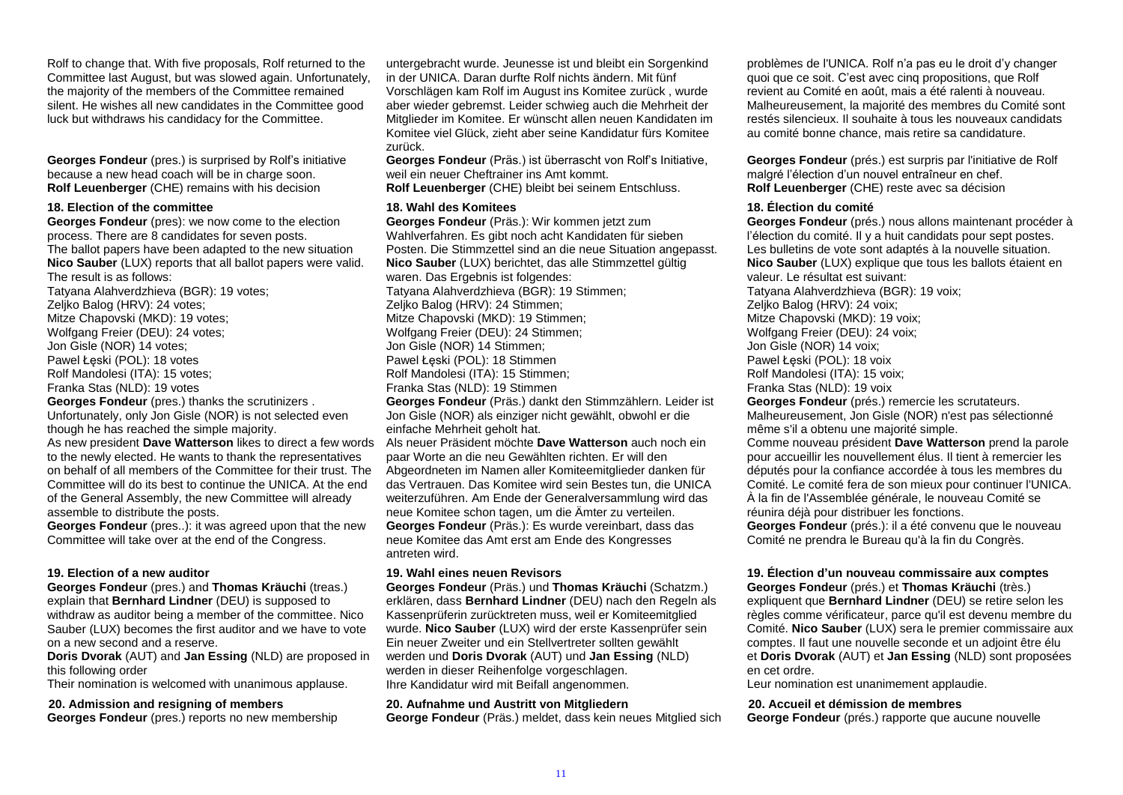Rolf to change that. With five proposals, Rolf returned to the Committee last August, but was slowed again. Unfortunately, the majority of the members of the Committee remained silent. He wishes all new candidates in the Committee good luck but withdraws his candidacy for the Committee.

**Georges Fondeur** (pres.) is surprised by Rolf's initiative because a new head coach will be in charge soon. **Rolf Leuenberger** (CHE) remains with his decision

#### **18. Election of the committee**

**Georges Fondeur** (pres): we now come to the election process. There are 8 candidates for seven posts. The ballot papers have been adapted to the new situation **Nico Sauber** (LUX) reports that all ballot papers were valid. The result is as follows:

Tatyana Alahverdzhieva (BGR): 19 votes; Zeljko Balog (HRV): 24 votes; Mitze Chapovski (MKD): 19 votes; Wolfgang Freier (DEU): 24 votes; Jon Gisle (NOR) 14 votes; Pawel Łęski (POL): 18 votes Rolf Mandolesi (ITA): 15 votes; Franka Stas (NLD): 19 votes **Georges Fondeur** (pres.) thanks the scrutinizers . Unfortunately, only Jon Gisle (NOR) is not selected even though he has reached the simple majority.

As new president **Dave Watterson** likes to direct a few words to the newly elected. He wants to thank the representatives on behalf of all members of the Committee for their trust. The Committee will do its best to continue the UNICA. At the end of the General Assembly, the new Committee will already assemble to distribute the posts.

**Georges Fondeur** (pres..): it was agreed upon that the new Committee will take over at the end of the Congress.

#### **19. Election of a new auditor**

**Georges Fondeur** (pres.) and **Thomas Kräuchi** (treas.) explain that **Bernhard Lindner** (DEU) is supposed to withdraw as auditor being a member of the committee. Nico Sauber (LUX) becomes the first auditor and we have to vote on a new second and a reserve.

**Doris Dvorak** (AUT) and **Jan Essing** (NLD) are proposed in this following order

Their nomination is welcomed with unanimous applause.

#### **20. Admission and resigning of members**

**Georges Fondeur** (pres.) reports no new membership

untergebracht wurde. Jeunesse ist und bleibt ein Sorgenkind in der UNICA. Daran durfte Rolf nichts ändern. Mit fünf Vorschlägen kam Rolf im August ins Komitee zurück , wurde aber wieder gebremst. Leider schwieg auch die Mehrheit der Mitglieder im Komitee. Er wünscht allen neuen Kandidaten im Komitee viel Glück, zieht aber seine Kandidatur fürs Komitee zurück.

**Georges Fondeur** (Präs.) ist überrascht von Rolf's Initiative, weil ein neuer Cheftrainer ins Amt kommt. **Rolf Leuenberger** (CHE) bleibt bei seinem Entschluss.

#### **18. Wahl des Komitees**

**Georges Fondeur** (Präs.): Wir kommen jetzt zum Wahlverfahren. Es gibt noch acht Kandidaten für sieben Posten. Die Stimmzettel sind an die neue Situation angepasst. **Nico Sauber** (LUX) berichtet, das alle Stimmzettel gültig waren. Das Ergebnis ist folgendes: Tatyana Alahverdzhieva (BGR): 19 Stimmen; Zeljko Balog (HRV): 24 Stimmen; Mitze Chapovski (MKD): 19 Stimmen; Wolfgang Freier (DEU): 24 Stimmen; Jon Gisle (NOR) 14 Stimmen; Pawel Łęski (POL): 18 Stimmen Rolf Mandolesi (ITA): 15 Stimmen; Franka Stas (NLD): 19 Stimmen **Georges Fondeur** (Präs.) dankt den Stimmzählern. Leider ist Jon Gisle (NOR) als einziger nicht gewählt, obwohl er die einfache Mehrheit geholt hat. Als neuer Präsident möchte **Dave Watterson** auch noch ein paar Worte an die neu Gewählten richten. Er will den Abgeordneten im Namen aller Komiteemitglieder danken für das Vertrauen. Das Komitee wird sein Bestes tun, die UNICA weiterzuführen. Am Ende der Generalversammlung wird das neue Komitee schon tagen, um die Ämter zu verteilen. **Georges Fondeur** (Präs.): Es wurde vereinbart, dass das neue Komitee das Amt erst am Ende des Kongresses antreten wird.

#### **19. Wahl eines neuen Revisors**

**Georges Fondeur** (Präs.) und **Thomas Kräuchi** (Schatzm.) erklären, dass **Bernhard Lindner** (DEU) nach den Regeln als Kassenprüferin zurücktreten muss, weil er Komiteemitglied wurde. **Nico Sauber** (LUX) wird der erste Kassenprüfer sein Ein neuer Zweiter und ein Stellvertreter sollten gewählt werden und **Doris Dvorak** (AUT) und **Jan Essing** (NLD) werden in dieser Reihenfolge vorgeschlagen. Ihre Kandidatur wird mit Beifall angenommen.

#### **20. Aufnahme und Austritt von Mitgliedern**

**George Fondeur** (Präs.) meldet, dass kein neues Mitglied sich

problèmes de l'UNICA. Rolf n'a pas eu le droit d'y changer quoi que ce soit. C'est avec cinq propositions, que Rolf revient au Comité en août, mais a été ralenti à nouveau. Malheureusement, la majorité des membres du Comité sont restés silencieux. Il souhaite à tous les nouveaux candidats au comité bonne chance, mais retire sa candidature.

**Georges Fondeur** (prés.) est surpris par l'initiative de Rolf malgré l'élection d'un nouvel entraîneur en chef. **Rolf Leuenberger** (CHE) reste avec sa décision

#### **18. Élection du comité**

**Georges Fondeur** (prés.) nous allons maintenant procéder à l'élection du comité. Il y a huit candidats pour sept postes. Les bulletins de vote sont adaptés à la nouvelle situation. **Nico Sauber** (LUX) explique que tous les ballots étaient en valeur. Le résultat est suivant: Tatyana Alahverdzhieva (BGR): 19 voix; Zeljko Balog (HRV): 24 voix; Mitze Chapovski (MKD): 19 voix; Wolfgang Freier (DEU): 24 voix; Jon Gisle (NOR) 14 voix; Pawel Łęski (POL): 18 voix Rolf Mandolesi (ITA): 15 voix; Franka Stas (NLD): 19 voix **Georges Fondeur** (prés.) remercie les scrutateurs. Malheureusement, Jon Gisle (NOR) n'est pas sélectionné même s'il a obtenu une majorité simple. Comme nouveau président **Dave Watterson** prend la parole pour accueillir les nouvellement élus. Il tient à remercier les députés pour la confiance accordée à tous les membres du Comité. Le comité fera de son mieux pour continuer l'UNICA. À la fin de l'Assemblée générale, le nouveau Comité se réunira déjà pour distribuer les fonctions. **Georges Fondeur** (prés.): il a été convenu que le nouveau Comité ne prendra le Bureau qu'à la fin du Congrès.

#### **19. Élection d'un nouveau commissaire aux comptes**

**Georges Fondeur** (prés.) et **Thomas Kräuchi** (très.) expliquent que **Bernhard Lindner** (DEU) se retire selon les règles comme vérificateur, parce qu'il est devenu membre du Comité. **Nico Sauber** (LUX) sera le premier commissaire aux comptes. Il faut une nouvelle seconde et un adjoint être élu et **Doris Dvorak** (AUT) et **Jan Essing** (NLD) sont proposées en cet ordre.

Leur nomination est unanimement applaudie.

#### **20. Accueil et démission de membres**

**George Fondeur** (prés.) rapporte que aucune nouvelle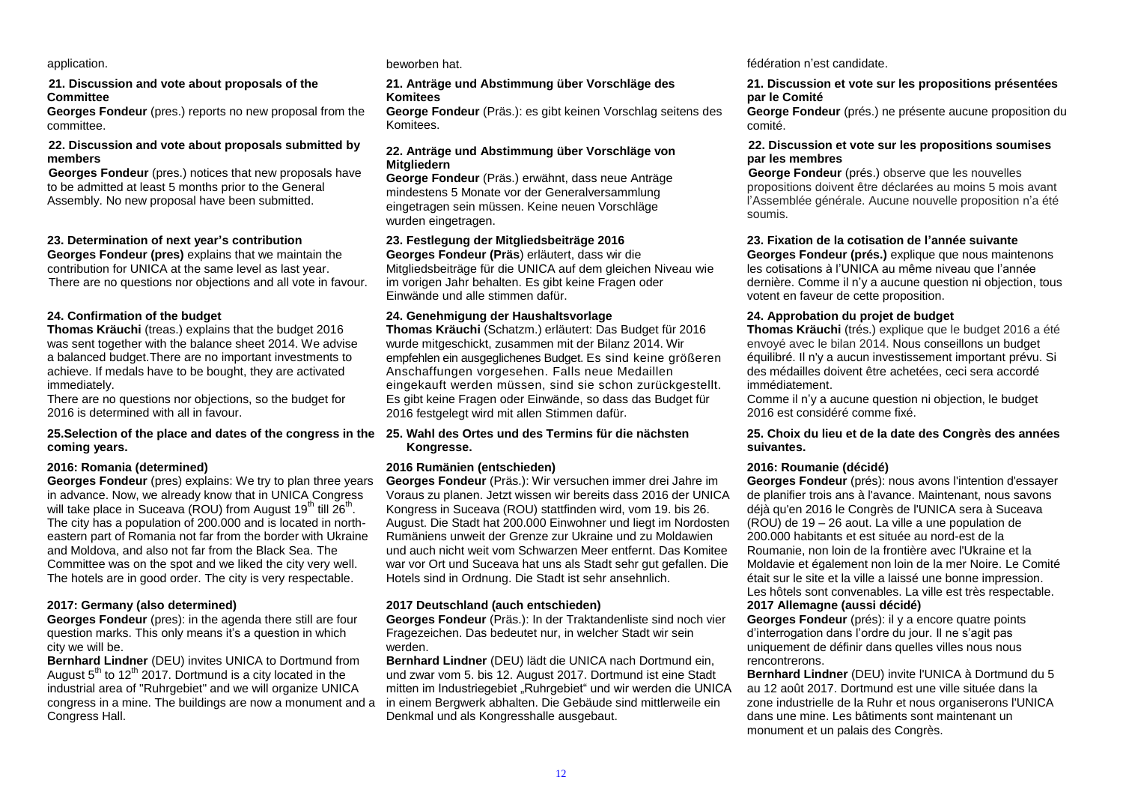#### **21. Discussion and vote about proposals of the Committee**

**Georges Fondeur** (pres.) reports no new proposal from the committee.

#### **22. Discussion and vote about proposals submitted by members**

**Georges Fondeur** (pres.) notices that new proposals have to be admitted at least 5 months prior to the General Assembly. No new proposal have been submitted.

#### **23. Determination of next year's contribution**

**Georges Fondeur (pres)** explains that we maintain the contribution for UNICA at the same level as last year. There are no questions nor objections and all vote in favour.

#### **24. Confirmation of the budget**

**Thomas Kräuchi** (treas.) explains that the budget 2016 was sent together with the balance sheet 2014. We advise a balanced budget.There are no important investments to achieve. If medals have to be bought, they are activated immediately.

There are no questions nor objections, so the budget for 2016 is determined with all in favour.

#### **25.Selection of the place and dates of the congress in the 25. Wahl des Ortes und des Termins für die nächsten coming years.**

#### **2016: Romania (determined)**

**Georges Fondeur** (pres) explains: We try to plan three years in advance. Now, we already know that in UNICA Congress will take place in Suceava (ROU) from August 19<sup>th</sup> till  $26<sup>th</sup>$ . The city has a population of 200.000 and is located in northeastern part of Romania not far from the border with Ukraine and Moldova, and also not far from the Black Sea. The Committee was on the spot and we liked the city very well. The hotels are in good order. The city is very respectable.

#### **2017: Germany (also determined)**

**Georges Fondeur** (pres): in the agenda there still are four question marks. This only means it's a question in which city we will be.

**Bernhard Lindner** (DEU) invites UNICA to Dortmund from August  $5<sup>th</sup>$  to 12<sup>th</sup> 2017. Dortmund is a city located in the industrial area of "Ruhrgebiet" and we will organize UNICA congress in a mine. The buildings are now a monument and a Congress Hall.

#### **21. Anträge und Abstimmung über Vorschläge des Komitees**

**George Fondeur** (Präs.): es gibt keinen Vorschlag seitens des Komitees.

#### **22. Anträge und Abstimmung über Vorschläge von Mitgliedern**

**George Fondeur** (Präs.) erwähnt, dass neue Anträge mindestens 5 Monate vor der Generalversammlung eingetragen sein müssen. Keine neuen Vorschläge wurden eingetragen.

#### **23. Festlegung der Mitgliedsbeiträge 2016**

**Georges Fondeur (Präs**) erläutert, dass wir die Mitgliedsbeiträge für die UNICA auf dem gleichen Niveau wie im vorigen Jahr behalten. Es gibt keine Fragen oder Einwände und alle stimmen dafür.

#### **24. Genehmigung der Haushaltsvorlage**

**Thomas Kräuchi** (Schatzm.) erläutert: Das Budget für 2016 wurde mitgeschickt, zusammen mit der Bilanz 2014. Wir empfehlen ein ausgeglichenes Budget. Es sind keine größeren Anschaffungen vorgesehen. Falls neue Medaillen eingekauft werden müssen, sind sie schon zurückgestellt. Es gibt keine Fragen oder Einwände, so dass das Budget für 2016 festgelegt wird mit allen Stimmen dafür.

# **Kongresse.**

#### **2016 Rumänien (entschieden)**

**Georges Fondeur** (Präs.): Wir versuchen immer drei Jahre im Voraus zu planen. Jetzt wissen wir bereits dass 2016 der UNICA Kongress in Suceava (ROU) stattfinden wird, vom 19. bis 26. August. Die Stadt hat 200.000 Einwohner und liegt im Nordosten Rumäniens unweit der Grenze zur Ukraine und zu Moldawien und auch nicht weit vom Schwarzen Meer entfernt. Das Komitee war vor Ort und Suceava hat uns als Stadt sehr gut gefallen. Die Hotels sind in Ordnung. Die Stadt ist sehr ansehnlich.

#### **2017 Deutschland (auch entschieden)**

**Georges Fondeur** (Präs.): In der Traktandenliste sind noch vier Fragezeichen. Das bedeutet nur, in welcher Stadt wir sein werden.

**Bernhard Lindner** (DEU) lädt die UNICA nach Dortmund ein, und zwar vom 5. bis 12. August 2017. Dortmund ist eine Stadt mitten im Industriegebiet "Ruhrgebiet" und wir werden die UNICA in einem Bergwerk abhalten. Die Gebäude sind mittlerweile ein Denkmal und als Kongresshalle ausgebaut.

application. beworben hat. fédération n'est candidate.

#### **21. Discussion et vote sur les propositions présentées par le Comité**

**George Fondeur** (prés.) ne présente aucune proposition du comité.

#### **22. Discussion et vote sur les propositions soumises par les membres**

**George Fondeur** (prés.) observe que les nouvelles propositions doivent être déclarées au moins 5 mois avant l'Assemblée générale. Aucune nouvelle proposition n'a été soumis.

**23. Fixation de la cotisation de l'année suivante Georges Fondeur (prés.)** explique que nous maintenons

les cotisations à l'UNICA au même niveau que l'année dernière. Comme il n'y a aucune question ni objection, tous votent en faveur de cette proposition.

#### **24. Approbation du projet de budget**

**Thomas Kräuchi** (trés.) explique que le budget 2016 a été envoyé avec le bilan 2014. Nous conseillons un budget équilibré. Il n'y a aucun investissement important prévu. Si des médailles doivent être achetées, ceci sera accordé immédiatement.

Comme il n'y a aucune question ni objection, le budget 2016 est considéré comme fixé.

#### **25. Choix du lieu et de la date des Congrès des années suivantes.**

#### **2016: Roumanie (décidé)**

**Georges Fondeur** (prés): nous avons l'intention d'essayer de planifier trois ans à l'avance. Maintenant, nous savons déjà qu'en 2016 le Congrès de l'UNICA sera à Suceava (ROU) de 19 – 26 aout. La ville a une population de 200.000 habitants et est située au nord-est de la Roumanie, non loin de la frontière avec l'Ukraine et la Moldavie et également non loin de la mer Noire. Le Comité était sur le site et la ville a laissé une bonne impression. Les hôtels sont convenables. La ville est très respectable. **2017 Allemagne (aussi décidé)**

**Georges Fondeur** (prés): il y a encore quatre points d'interrogation dans l'ordre du jour. Il ne s'agit pas uniquement de définir dans quelles villes nous nous rencontrerons.

**Bernhard Lindner** (DEU) invite l'UNICA à Dortmund du 5 au 12 août 2017. Dortmund est une ville située dans la zone industrielle de la Ruhr et nous organiserons l'UNICA dans une mine. Les bâtiments sont maintenant un monument et un palais des Congrès.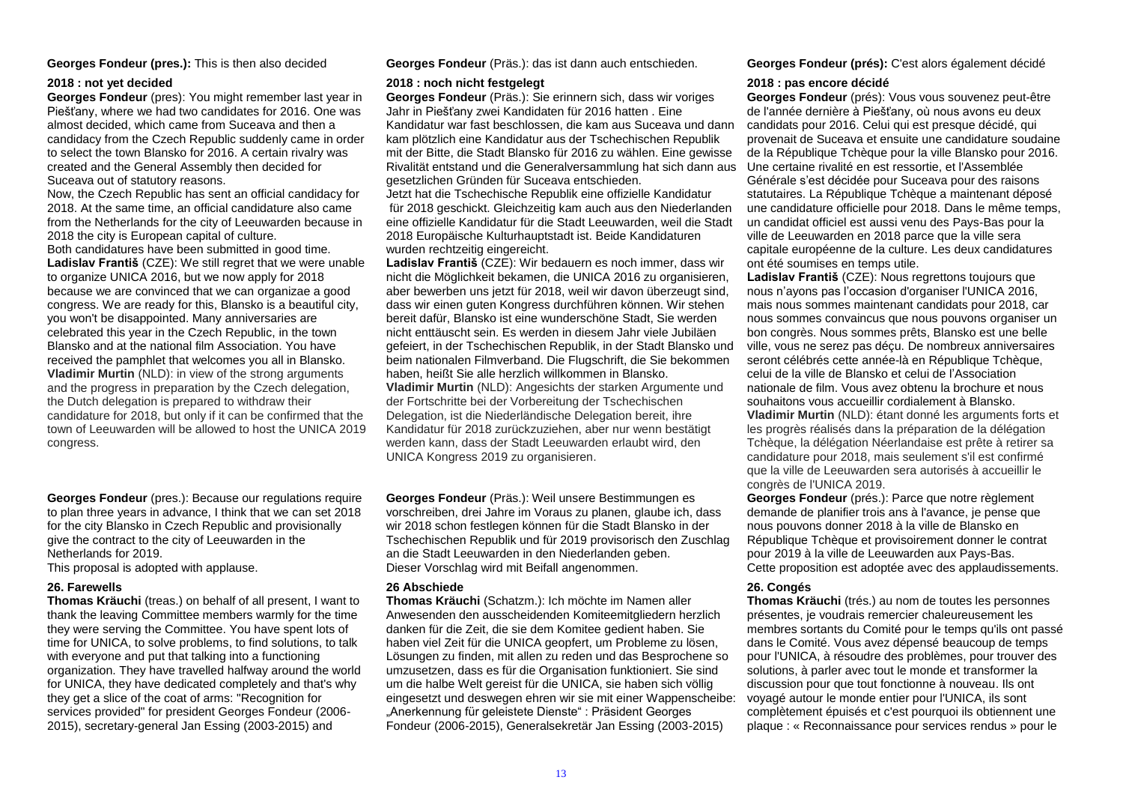#### **2018 : not yet decided**

**Georges Fondeur** (pres): You might remember last year in Piešťany, where we had two candidates for 2016. One was almost decided, which came from Suceava and then a candidacy from the Czech Republic suddenly came in order to select the town Blansko for 2016. A certain rivalry was created and the General Assembly then decided for Suceava out of statutory reasons.

Now, the Czech Republic has sent an official candidacy for 2018. At the same time, an official candidature also came from the Netherlands for the city of Leeuwarden because in 2018 the city is European capital of culture. Both candidatures have been submitted in good time. **Ladislav Františ** (CZE): We still regret that we were unable to organize UNICA 2016, but we now apply for 2018 because we are convinced that we can organizae a good congress. We are ready for this, Blansko is a beautiful city, you won't be disappointed. Many anniversaries are celebrated this year in the Czech Republic, in the town Blansko and at the national film Association. You have received the pamphlet that welcomes you all in Blansko. **Vladimir Murtin** (NLD): in view of the strong arguments and the progress in preparation by the Czech delegation, the Dutch delegation is prepared to withdraw their candidature for 2018, but only if it can be confirmed that the town of Leeuwarden will be allowed to host the UNICA 2019 congress.

**Georges Fondeur** (pres.): Because our regulations require to plan three years in advance, I think that we can set 2018 for the city Blansko in Czech Republic and provisionally give the contract to the city of Leeuwarden in the Netherlands for 2019.

This proposal is adopted with applause.

**Thomas Kräuchi** (treas.) on behalf of all present, I want to thank the leaving Committee members warmly for the time they were serving the Committee. You have spent lots of time for UNICA, to solve problems, to find solutions, to talk with everyone and put that talking into a functioning organization. They have travelled halfway around the world for UNICA, they have dedicated completely and that's why they get a slice of the coat of arms: "Recognition for services provided" for president Georges Fondeur (2006- 2015), secretary-general Jan Essing (2003-2015) and

**Georges Fondeur (pres.):** This is then also decided **Georges Fondeur** (Präs.): das ist dann auch entschieden. **Georges Fondeur (prés):** C'est alors également décidé

#### **2018 : noch nicht festgelegt**

**Georges Fondeur** (Präs.): Sie erinnern sich, dass wir voriges Jahr in Piešťany zwei Kandidaten für 2016 hatten . Eine Kandidatur war fast beschlossen, die kam aus Suceava und dann kam plötzlich eine Kandidatur aus der Tschechischen Republik mit der Bitte, die Stadt Blansko für 2016 zu wählen. Eine gewisse Rivalität entstand und die Generalversammlung hat sich dann aus gesetzlichen Gründen für Suceava entschieden.

Jetzt hat die Tschechische Republik eine offizielle Kandidatur für 2018 geschickt. Gleichzeitig kam auch aus den Niederlanden eine offizielle Kandidatur für die Stadt Leeuwarden, weil die Stadt 2018 Europäische Kulturhauptstadt ist. Beide Kandidaturen wurden rechtzeitig eingereicht.

**Ladislav Františ** (CZE): Wir bedauern es noch immer, dass wir nicht die Möglichkeit bekamen, die UNICA 2016 zu organisieren, aber bewerben uns jetzt für 2018, weil wir davon überzeugt sind, dass wir einen guten Kongress durchführen können. Wir stehen bereit dafür, Blansko ist eine wunderschöne Stadt, Sie werden nicht enttäuscht sein. Es werden in diesem Jahr viele Jubiläen gefeiert, in der Tschechischen Republik, in der Stadt Blansko und beim nationalen Filmverband. Die Flugschrift, die Sie bekommen haben, heißt Sie alle herzlich willkommen in Blansko. **Vladimir Murtin** (NLD): Angesichts der starken Argumente und der Fortschritte bei der Vorbereitung der Tschechischen Delegation, ist die Niederländische Delegation bereit, ihre Kandidatur für 2018 zurückzuziehen, aber nur wenn bestätigt werden kann, dass der Stadt Leeuwarden erlaubt wird, den UNICA Kongress 2019 zu organisieren.

**Georges Fondeur** (Präs.): Weil unsere Bestimmungen es vorschreiben, drei Jahre im Voraus zu planen, glaube ich, dass wir 2018 schon festlegen können für die Stadt Blansko in der Tschechischen Republik und für 2019 provisorisch den Zuschlag an die Stadt Leeuwarden in den Niederlanden geben. Dieser Vorschlag wird mit Beifall angenommen.

#### **26. Farewells 26 Abschiede 26. Congés**

**Thomas Kräuchi** (Schatzm.): Ich möchte im Namen aller Anwesenden den ausscheidenden Komiteemitgliedern herzlich danken für die Zeit, die sie dem Komitee gedient haben. Sie haben viel Zeit für die UNICA geopfert, um Probleme zu lösen, Lösungen zu finden, mit allen zu reden und das Besprochene so umzusetzen, dass es für die Organisation funktioniert. Sie sind um die halbe Welt gereist für die UNICA, sie haben sich völlig eingesetzt und deswegen ehren wir sie mit einer Wappenscheibe: "Anerkennung für geleistete Dienste" : Präsident Georges Fondeur (2006-2015), Generalsekretär Jan Essing (2003-2015)

#### **2018 : pas encore décidé**

**Georges Fondeur** (prés): Vous vous souvenez peut-être de l'année dernière à Piešťany, où nous avons eu deux candidats pour 2016. Celui qui est presque décidé, qui provenait de Suceava et ensuite une candidature soudaine de la République Tchèque pour la ville Blansko pour 2016. Une certaine rivalité en est ressortie, et l'Assemblée Générale s'est décidée pour Suceava pour des raisons statutaires. La République Tchèque a maintenant déposé une candidature officielle pour 2018. Dans le même temps, un candidat officiel est aussi venu des Pays-Bas pour la ville de Leeuwarden en 2018 parce que la ville sera capitale européenne de la culture. Les deux candidatures ont été soumises en temps utile.

**Ladislav Františ** (CZE): Nous regrettons toujours que nous n'ayons pas l'occasion d'organiser l'UNICA 2016, mais nous sommes maintenant candidats pour 2018, car nous sommes convaincus que nous pouvons organiser un bon congrès. Nous sommes prêts, Blansko est une belle ville, vous ne serez pas déçu. De nombreux anniversaires seront célébrés cette année-là en République Tchèque, celui de la ville de Blansko et celui de l'Association nationale de film. Vous avez obtenu la brochure et nous souhaitons vous accueillir cordialement à Blansko. **Vladimir Murtin** (NLD): étant donné les arguments forts et les progrès réalisés dans la préparation de la délégation Tchèque, la délégation Néerlandaise est prête à retirer sa candidature pour 2018, mais seulement s'il est confirmé que la ville de Leeuwarden sera autorisés à accueillir le congrès de l'UNICA 2019.

**Georges Fondeur** (prés.): Parce que notre règlement demande de planifier trois ans à l'avance, je pense que nous pouvons donner 2018 à la ville de Blansko en République Tchèque et provisoirement donner le contrat pour 2019 à la ville de Leeuwarden aux Pays-Bas. Cette proposition est adoptée avec des applaudissements.

**Thomas Kräuchi** (trés.) au nom de toutes les personnes présentes, je voudrais remercier chaleureusement les membres sortants du Comité pour le temps qu'ils ont passé dans le Comité. Vous avez dépensé beaucoup de temps pour l'UNICA, à résoudre des problèmes, pour trouver des solutions, à parler avec tout le monde et transformer la discussion pour que tout fonctionne à nouveau. Ils ont voyagé autour le monde entier pour l'UNICA, ils sont complètement épuisés et c'est pourquoi ils obtiennent une plaque : « Reconnaissance pour services rendus » pour le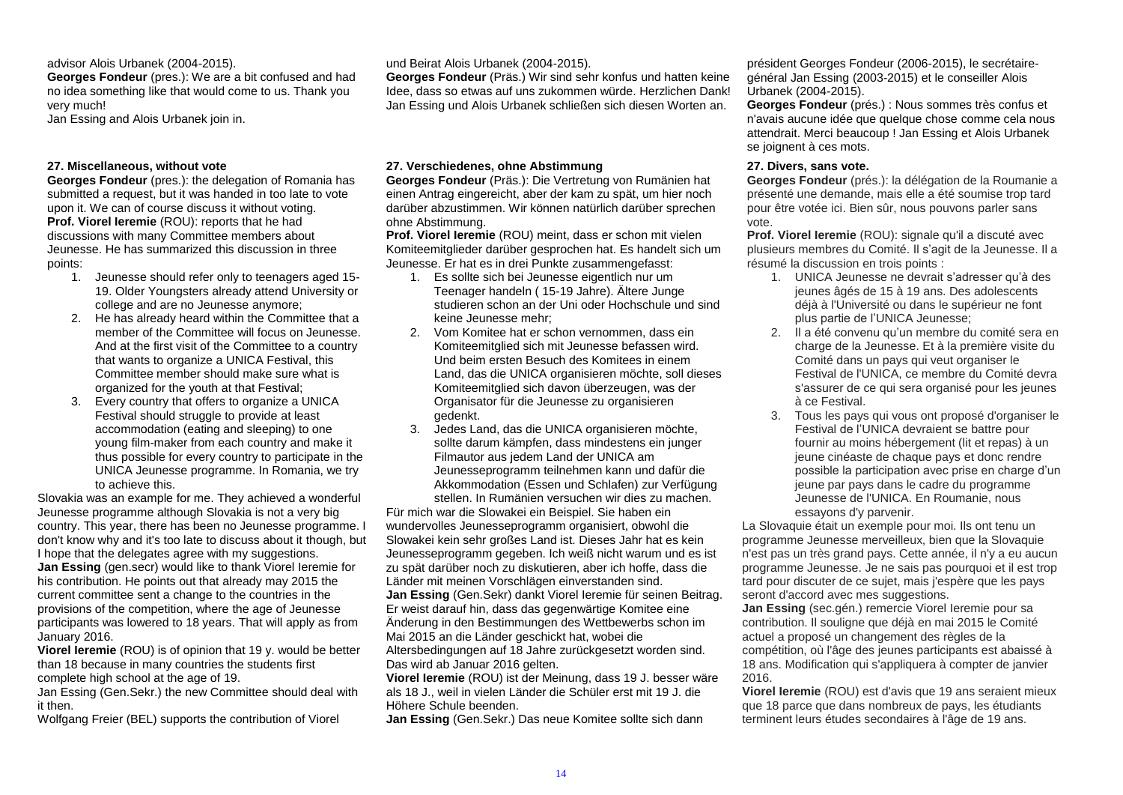#### advisor Alois Urbanek (2004-2015).

**Georges Fondeur** (pres.): We are a bit confused and had no idea something like that would come to us. Thank you very much!

Jan Essing and Alois Urbanek join in.

#### **27. Miscellaneous, without vote**

**Georges Fondeur** (pres.): the delegation of Romania has submitted a request, but it was handed in too late to vote upon it. We can of course discuss it without voting. **Prof. Viorel Ieremie** (ROU): reports that he had discussions with many Committee members about Jeunesse. He has summarized this discussion in three points:

- 1. Jeunesse should refer only to teenagers aged 15- 19. Older Youngsters already attend University or college and are no Jeunesse anymore;
- 2. He has already heard within the Committee that a member of the Committee will focus on Jeunesse. And at the first visit of the Committee to a country that wants to organize a UNICA Festival, this Committee member should make sure what is organized for the youth at that Festival;
- 3. Every country that offers to organize a UNICA Festival should struggle to provide at least accommodation (eating and sleeping) to one young film-maker from each country and make it thus possible for every country to participate in the UNICA Jeunesse programme. In Romania, we try to achieve this.

Slovakia was an example for me. They achieved a wonderful Jeunesse programme although Slovakia is not a very big country. This year, there has been no Jeunesse programme. I don't know why and it's too late to discuss about it though, but I hope that the delegates agree with my suggestions. **Jan Essing** (gen.secr) would like to thank Viorel Ieremie for his contribution. He points out that already may 2015 the current committee sent a change to the countries in the provisions of the competition, where the age of Jeunesse participants was lowered to 18 years. That will apply as from January 2016.

**Viorel Ieremie** (ROU) is of opinion that 19 y. would be better than 18 because in many countries the students first complete high school at the age of 19.

Jan Essing (Gen.Sekr.) the new Committee should deal with it then.

Wolfgang Freier (BEL) supports the contribution of Viorel

#### und Beirat Alois Urbanek (2004-2015).

**Georges Fondeur** (Präs.) Wir sind sehr konfus und hatten keine Idee, dass so etwas auf uns zukommen würde. Herzlichen Dank! Jan Essing und Alois Urbanek schließen sich diesen Worten an.

#### **27. Verschiedenes, ohne Abstimmung**

**Georges Fondeur** (Präs.): Die Vertretung von Rumänien hat einen Antrag eingereicht, aber der kam zu spät, um hier noch darüber abzustimmen. Wir können natürlich darüber sprechen ohne Abstimmung.

**Prof. Viorel Ieremie** (ROU) meint, dass er schon mit vielen Komiteemitglieder darüber gesprochen hat. Es handelt sich um Jeunesse. Er hat es in drei Punkte zusammengefasst:

- 1. Es sollte sich bei Jeunesse eigentlich nur um Teenager handeln ( 15-19 Jahre). Ältere Junge studieren schon an der Uni oder Hochschule und sind keine Jeunesse mehr;
- 2. Vom Komitee hat er schon vernommen, dass ein Komiteemitglied sich mit Jeunesse befassen wird. Und beim ersten Besuch des Komitees in einem Land, das die UNICA organisieren möchte, soll dieses Komiteemitglied sich davon überzeugen, was der Organisator für die Jeunesse zu organisieren gedenkt.
- 3. Jedes Land, das die UNICA organisieren möchte, sollte darum kämpfen, dass mindestens ein junger Filmautor aus jedem Land der UNICA am Jeunesseprogramm teilnehmen kann und dafür die Akkommodation (Essen und Schlafen) zur Verfügung stellen. In Rumänien versuchen wir dies zu machen.

Für mich war die Slowakei ein Beispiel. Sie haben ein wundervolles Jeunesseprogramm organisiert, obwohl die Slowakei kein sehr großes Land ist. Dieses Jahr hat es kein Jeunesseprogramm gegeben. Ich weiß nicht warum und es ist zu spät darüber noch zu diskutieren, aber ich hoffe, dass die Länder mit meinen Vorschlägen einverstanden sind. **Jan Essing** (Gen.Sekr) dankt Viorel Ieremie für seinen Beitrag. Er weist darauf hin, dass das gegenwärtige Komitee eine Änderung in den Bestimmungen des Wettbewerbs schon im Mai 2015 an die Länder geschickt hat, wobei die Altersbedingungen auf 18 Jahre zurückgesetzt worden sind. Das wird ab Januar 2016 gelten.

**Viorel Ieremie** (ROU) ist der Meinung, dass 19 J. besser wäre als 18 J., weil in vielen Länder die Schüler erst mit 19 J. die Höhere Schule beenden.

**Jan Essing** (Gen.Sekr.) Das neue Komitee sollte sich dann

président Georges Fondeur (2006-2015), le secrétairegénéral Jan Essing (2003-2015) et le conseiller Alois Urbanek (2004-2015).

**Georges Fondeur** (prés.) : Nous sommes très confus et n'avais aucune idée que quelque chose comme cela nous attendrait. Merci beaucoup ! Jan Essing et Alois Urbanek se joignent à ces mots.

#### **27. Divers, sans vote.**

**Georges Fondeur** (prés.): la délégation de la Roumanie a présenté une demande, mais elle a été soumise trop tard pour être votée ici. Bien sûr, nous pouvons parler sans vote.

**Prof. Viorel Ieremie** (ROU): signale qu'il a discuté avec plusieurs membres du Comité. Il s'agit de la Jeunesse. Il a résumé la discussion en trois points :

- 1. UNICA Jeunesse ne devrait s'adresser qu'à des jeunes âgés de 15 à 19 ans. Des adolescents déjà à l'Université ou dans le supérieur ne font plus partie de l'UNICA Jeunesse;
- 2. Il a été convenu qu'un membre du comité sera en charge de la Jeunesse. Et à la première visite du Comité dans un pays qui veut organiser le Festival de l'UNICA, ce membre du Comité devra s'assurer de ce qui sera organisé pour les jeunes à ce Festival.
- 3. Tous les pays qui vous ont proposé d'organiser le Festival de l'UNICA devraient se battre pour fournir au moins hébergement (lit et repas) à un jeune cinéaste de chaque pays et donc rendre possible la participation avec prise en charge d'un jeune par pays dans le cadre du programme Jeunesse de l'UNICA. En Roumanie, nous essayons d'y parvenir.

La Slovaquie était un exemple pour moi. Ils ont tenu un programme Jeunesse merveilleux, bien que la Slovaquie n'est pas un très grand pays. Cette année, il n'y a eu aucun programme Jeunesse. Je ne sais pas pourquoi et il est trop tard pour discuter de ce sujet, mais j'espère que les pays seront d'accord avec mes suggestions.

**Jan Essing** (sec.gén.) remercie Viorel Ieremie pour sa contribution. Il souligne que déjà en mai 2015 le Comité actuel a proposé un changement des règles de la compétition, où l'âge des jeunes participants est abaissé à 18 ans. Modification qui s'appliquera à compter de janvier 2016.

**Viorel Ieremie** (ROU) est d'avis que 19 ans seraient mieux que 18 parce que dans nombreux de pays, les étudiants terminent leurs études secondaires à l'âge de 19 ans.